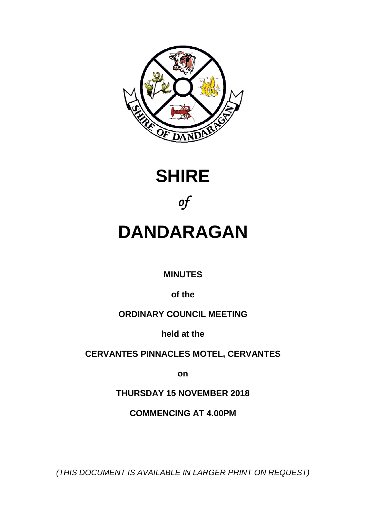





# **DANDARAGAN**

# **MINUTES**

**of the**

# **ORDINARY COUNCIL MEETING**

**held at the**

**CERVANTES PINNACLES MOTEL, CERVANTES** 

**on**

**THURSDAY 15 NOVEMBER 2018**

**COMMENCING AT 4.00PM**

*(THIS DOCUMENT IS AVAILABLE IN LARGER PRINT ON REQUEST)*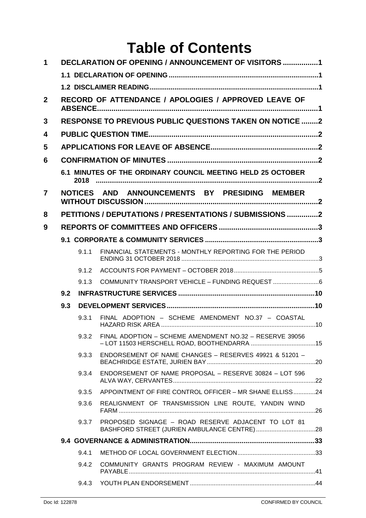# **Table of Contents**

| 1              |                                                      |       | <b>DECLARATION OF OPENING / ANNOUNCEMENT OF VISITORS 1</b>     |  |  |  |
|----------------|------------------------------------------------------|-------|----------------------------------------------------------------|--|--|--|
|                |                                                      |       |                                                                |  |  |  |
|                |                                                      |       |                                                                |  |  |  |
| $\overline{2}$ | RECORD OF ATTENDANCE / APOLOGIES / APPROVED LEAVE OF |       |                                                                |  |  |  |
| 3              |                                                      |       | <b>RESPONSE TO PREVIOUS PUBLIC QUESTIONS TAKEN ON NOTICE 2</b> |  |  |  |
| 4              |                                                      |       |                                                                |  |  |  |
| 5              |                                                      |       |                                                                |  |  |  |
| 6              |                                                      |       |                                                                |  |  |  |
|                |                                                      |       | 6.1 MINUTES OF THE ORDINARY COUNCIL MEETING HELD 25 OCTOBER    |  |  |  |
| 7              |                                                      |       | NOTICES AND ANNOUNCEMENTS BY PRESIDING MEMBER                  |  |  |  |
| 8              |                                                      |       | PETITIONS / DEPUTATIONS / PRESENTATIONS / SUBMISSIONS 2        |  |  |  |
| 9              |                                                      |       |                                                                |  |  |  |
|                |                                                      |       |                                                                |  |  |  |
|                |                                                      | 9.1.1 | FINANCIAL STATEMENTS - MONTHLY REPORTING FOR THE PERIOD        |  |  |  |
|                |                                                      | 9.1.2 |                                                                |  |  |  |
|                |                                                      | 9.1.3 | COMMUNITY TRANSPORT VEHICLE - FUNDING REQUEST                  |  |  |  |
|                | 9.2                                                  |       |                                                                |  |  |  |
|                | 9.3                                                  |       |                                                                |  |  |  |
|                |                                                      | 9.31  | FINAL ADOPTION - SCHEME AMENDMENT NO.37 - COASTAL              |  |  |  |
|                |                                                      | 9.3.2 | FINAL ADOPTION - SCHEME AMENDMENT NO.32 - RESERVE 39056        |  |  |  |
|                |                                                      | 9.3.3 | ENDORSEMENT OF NAME CHANGES - RESERVES 49921 & 51201 -         |  |  |  |
|                |                                                      | 9.3.4 | ENDORSEMENT OF NAME PROPOSAL - RESERVE 30824 - LOT 596         |  |  |  |
|                |                                                      | 9.3.5 | APPOINTMENT OF FIRE CONTROL OFFICER - MR SHANE ELLISS24        |  |  |  |
|                |                                                      | 9.3.6 | REALIGNMENT OF TRANSMISSION LINE ROUTE, YANDIN WIND            |  |  |  |
|                |                                                      | 9.3.7 | PROPOSED SIGNAGE - ROAD RESERVE ADJACENT TO LOT 81             |  |  |  |
|                |                                                      |       |                                                                |  |  |  |
|                |                                                      | 9.4.1 |                                                                |  |  |  |
|                |                                                      | 9.4.2 | COMMUNITY GRANTS PROGRAM REVIEW - MAXIMUM AMOUNT               |  |  |  |
|                |                                                      | 9.4.3 |                                                                |  |  |  |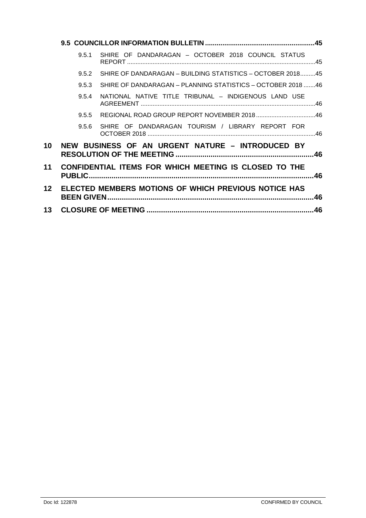| 9.5.1 | SHIRE OF DANDARAGAN - OCTOBER 2018 COUNCIL STATUS          |                                                                                                                                                                          |
|-------|------------------------------------------------------------|--------------------------------------------------------------------------------------------------------------------------------------------------------------------------|
| 9.5.2 | SHIRE OF DANDARAGAN - BUILDING STATISTICS - OCTOBER 201845 |                                                                                                                                                                          |
| 9.5.3 | SHIRE OF DANDARAGAN - PLANNING STATISTICS - OCTOBER 201846 |                                                                                                                                                                          |
| 9.5.4 | NATIONAL NATIVE TITLE TRIBUNAL - INDIGENOUS LAND USE       |                                                                                                                                                                          |
| 9.5.5 |                                                            |                                                                                                                                                                          |
| 956   | SHIRE OF DANDARAGAN TOURISM / LIBRARY REPORT FOR           |                                                                                                                                                                          |
|       |                                                            |                                                                                                                                                                          |
|       |                                                            | .46                                                                                                                                                                      |
|       |                                                            |                                                                                                                                                                          |
|       |                                                            |                                                                                                                                                                          |
|       |                                                            | NEW BUSINESS OF AN URGENT NATURE - INTRODUCED BY<br><b>CONFIDENTIAL ITEMS FOR WHICH MEETING IS CLOSED TO THE</b><br>ELECTED MEMBERS MOTIONS OF WHICH PREVIOUS NOTICE HAS |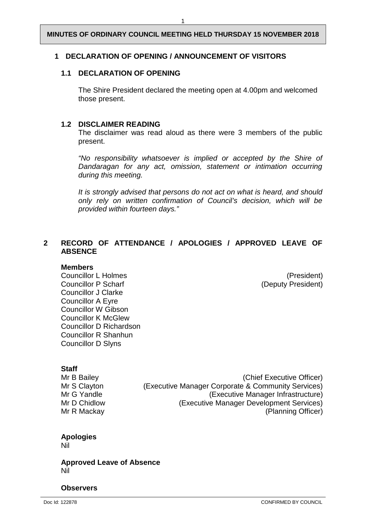#### <span id="page-3-0"></span>**1 DECLARATION OF OPENING / ANNOUNCEMENT OF VISITORS**

#### <span id="page-3-1"></span>**1.1 DECLARATION OF OPENING**

The Shire President declared the meeting open at 4.00pm and welcomed those present.

#### <span id="page-3-2"></span>**1.2 DISCLAIMER READING**

The disclaimer was read aloud as there were 3 members of the public present.

*"No responsibility whatsoever is implied or accepted by the Shire of Dandaragan for any act, omission, statement or intimation occurring during this meeting.*

*It is strongly advised that persons do not act on what is heard, and should only rely on written confirmation of Council's decision, which will be provided within fourteen days."*

#### <span id="page-3-3"></span>**2 RECORD OF ATTENDANCE / APOLOGIES / APPROVED LEAVE OF ABSENCE**

#### **Members**

Councillor L Holmes (President) Councillor P Scharf (Deputy President) Councillor J Clarke Councillor A Eyre Councillor W Gibson Councillor K McGlew Councillor D Richardson Councillor R Shanhun Councillor D Slyns

**Staff**<br>Mr B Bailey

Mr B Bailey<br>Mr S Clayton (Executive Manager Corporate & Community Services) Mr S Clayton (Executive Manager Corporate & Community Services)<br>Mr G Yandle (Executive Manager Infrastructure) (Executive Manager Infrastructure) Mr D Chidlow (Executive Manager Development Services) Mr R Mackay (Planning Officer)

### **Apologies**

Nil

**Approved Leave of Absence** Nil

#### **Observers**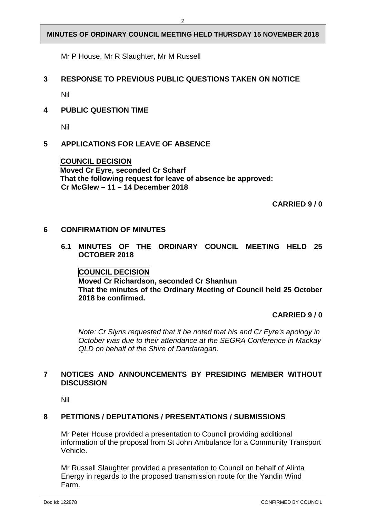Mr P House, Mr R Slaughter, Mr M Russell

#### <span id="page-4-0"></span>**3 RESPONSE TO PREVIOUS PUBLIC QUESTIONS TAKEN ON NOTICE**

Nil

#### <span id="page-4-1"></span>**4 PUBLIC QUESTION TIME**

Nil

#### <span id="page-4-2"></span>**5 APPLICATIONS FOR LEAVE OF ABSENCE**

**COUNCIL DECISION Moved Cr Eyre, seconded Cr Scharf That the following request for leave of absence be approved: Cr McGlew – 11 – 14 December 2018** 

**CARRIED 9 / 0**

#### <span id="page-4-4"></span><span id="page-4-3"></span>**6 CONFIRMATION OF MINUTES**

**6.1 MINUTES OF THE ORDINARY COUNCIL MEETING HELD 25 OCTOBER 2018**

**COUNCIL DECISION Moved Cr Richardson, seconded Cr Shanhun That the minutes of the Ordinary Meeting of Council held 25 October 2018 be confirmed.** 

**CARRIED 9 / 0**

*Note: Cr Slyns requested that it be noted that his and Cr Eyre's apology in October was due to their attendance at the SEGRA Conference in Mackay QLD on behalf of the Shire of Dandaragan.* 

#### <span id="page-4-5"></span>**7 NOTICES AND ANNOUNCEMENTS BY PRESIDING MEMBER WITHOUT DISCUSSION**

Nil

#### <span id="page-4-6"></span>**8 PETITIONS / DEPUTATIONS / PRESENTATIONS / SUBMISSIONS**

Mr Peter House provided a presentation to Council providing additional information of the proposal from St John Ambulance for a Community Transport Vehicle.

Mr Russell Slaughter provided a presentation to Council on behalf of Alinta Energy in regards to the proposed transmission route for the Yandin Wind Farm.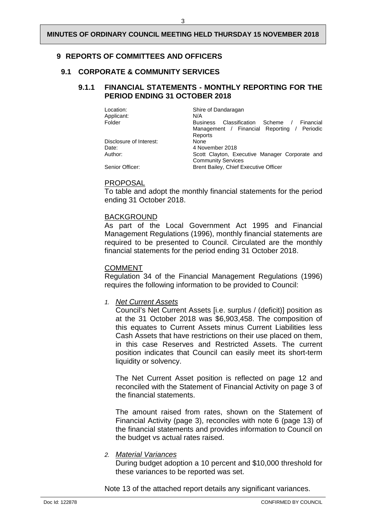#### <span id="page-5-0"></span>**9 REPORTS OF COMMITTEES AND OFFICERS**

#### <span id="page-5-2"></span><span id="page-5-1"></span>**9.1 CORPORATE & COMMUNITY SERVICES**

#### **9.1.1 FINANCIAL STATEMENTS - MONTHLY REPORTING FOR THE PERIOD ENDING 31 OCTOBER 2018**

| Location:               | Shire of Dandaragan                                   |
|-------------------------|-------------------------------------------------------|
| Applicant:              | N/A                                                   |
| Folder                  | Classification Scheme<br><b>Business</b><br>Financial |
|                         | Management / Financial Reporting<br>/ Periodic        |
|                         | Reports                                               |
| Disclosure of Interest: | None                                                  |
| Date:                   | 4 November 2018                                       |
| Author:                 | Scott Clayton, Executive Manager Corporate and        |
|                         | <b>Community Services</b>                             |
| Senior Officer:         | <b>Brent Bailey, Chief Executive Officer</b>          |

#### PROPOSAL

To table and adopt the monthly financial statements for the period ending 31 October 2018.

#### BACKGROUND

As part of the Local Government Act 1995 and Financial Management Regulations (1996), monthly financial statements are required to be presented to Council. Circulated are the monthly financial statements for the period ending 31 October 2018.

#### COMMENT

Regulation 34 of the Financial Management Regulations (1996) requires the following information to be provided to Council:

*1. Net Current Assets*

Council's Net Current Assets [i.e. surplus / (deficit)] position as at the 31 October 2018 was \$6,903,458. The composition of this equates to Current Assets minus Current Liabilities less Cash Assets that have restrictions on their use placed on them, in this case Reserves and Restricted Assets. The current position indicates that Council can easily meet its short-term liquidity or solvency.

The Net Current Asset position is reflected on page 12 and reconciled with the Statement of Financial Activity on page 3 of the financial statements.

The amount raised from rates, shown on the Statement of Financial Activity (page 3), reconciles with note 6 (page 13) of the financial statements and provides information to Council on the budget vs actual rates raised.

#### *2. Material Variances*

During budget adoption a 10 percent and \$10,000 threshold for these variances to be reported was set.

Note 13 of the attached report details any significant variances.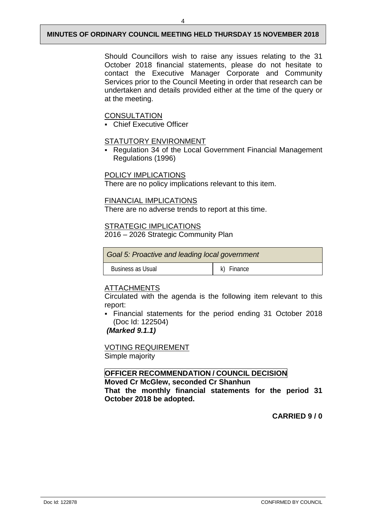Should Councillors wish to raise any issues relating to the 31 October 2018 financial statements, please do not hesitate to contact the Executive Manager Corporate and Community Services prior to the Council Meeting in order that research can be undertaken and details provided either at the time of the query or at the meeting.

#### **CONSULTATION**

Chief Executive Officer

#### STATUTORY ENVIRONMENT

 Regulation 34 of the Local Government Financial Management Regulations (1996)

#### POLICY IMPLICATIONS

There are no policy implications relevant to this item.

#### FINANCIAL IMPLICATIONS

There are no adverse trends to report at this time.

## STRATEGIC IMPLICATIONS

2016 – 2026 Strategic Community Plan

| Goal 5: Proactive and leading local government |            |  |  |
|------------------------------------------------|------------|--|--|
| <b>Business as Usual</b>                       | k) Finance |  |  |

### ATTACHMENTS

Circulated with the agenda is the following item relevant to this report:

 Financial statements for the period ending 31 October 2018 (Doc Id: 122504)

*(Marked 9.1.1)*

#### VOTING REQUIREMENT Simple majority

#### **OFFICER RECOMMENDATION / COUNCIL DECISION**

**Moved Cr McGlew, seconded Cr Shanhun That the monthly financial statements for the period 31 October 2018 be adopted.**

**CARRIED 9 / 0**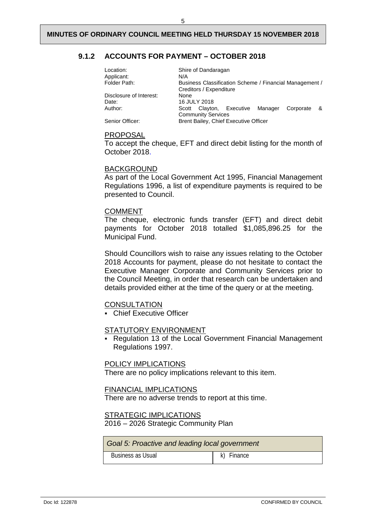#### <span id="page-7-0"></span>**9.1.2 ACCOUNTS FOR PAYMENT – OCTOBER 2018**

| Location:<br>Applicant: | Shire of Dandaragan<br>N/A                                                         |  |
|-------------------------|------------------------------------------------------------------------------------|--|
| Folder Path:            | Business Classification Scheme / Financial Management /<br>Creditors / Expenditure |  |
| Disclosure of Interest: | None                                                                               |  |
| Date:                   | 16 JULY 2018                                                                       |  |
| Author:                 | Clayton, Executive Manager<br>Corporate<br>&<br>Scott                              |  |
| Senior Officer:         | <b>Community Services</b><br>Brent Bailey, Chief Executive Officer                 |  |

#### PROPOSAL

To accept the cheque, EFT and direct debit listing for the month of October 2018.

#### BACKGROUND

As part of the Local Government Act 1995, Financial Management Regulations 1996, a list of expenditure payments is required to be presented to Council.

#### COMMENT

The cheque, electronic funds transfer (EFT) and direct debit payments for October 2018 totalled \$1,085,896.25 for the Municipal Fund.

Should Councillors wish to raise any issues relating to the October 2018 Accounts for payment, please do not hesitate to contact the Executive Manager Corporate and Community Services prior to the Council Meeting, in order that research can be undertaken and details provided either at the time of the query or at the meeting.

#### **CONSULTATION**

**Chief Executive Officer** 

#### STATUTORY ENVIRONMENT

 Regulation 13 of the Local Government Financial Management Regulations 1997.

#### POLICY IMPLICATIONS

There are no policy implications relevant to this item.

#### FINANCIAL IMPLICATIONS

There are no adverse trends to report at this time.

#### STRATEGIC IMPLICATIONS

2016 – 2026 Strategic Community Plan

| Goal 5: Proactive and leading local government |            |  |  |
|------------------------------------------------|------------|--|--|
| Business as Usual                              | k) Finance |  |  |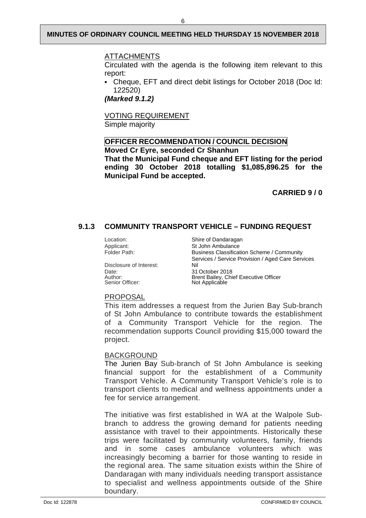#### ATTACHMENTS

Circulated with the agenda is the following item relevant to this report:

 Cheque, EFT and direct debit listings for October 2018 (Doc Id: 122520)

*(Marked 9.1.2)*

VOTING REQUIREMENT Simple majority

#### **OFFICER RECOMMENDATION / COUNCIL DECISION Moved Cr Eyre, seconded Cr Shanhun**

**That the Municipal Fund cheque and EFT listing for the period ending 30 October 2018 totalling \$1,085,896.25 for the Municipal Fund be accepted.**

**CARRIED 9 / 0**

#### <span id="page-8-0"></span>**9.1.3 COMMUNITY TRANSPORT VEHICLE – FUNDING REQUEST**

Disclosure of Interest:<br>Date: Date: 31 October 2018 Senior Officer:

Location: Shire of Dandaragan<br>Applicant: St John Ambulance Applicant: St John Ambulance<br>
Folder Path: St John Ambulance<br>
Business Classificat Business Classification Scheme / Community Services / Service Provision / Aged Care Services Brent Bailey, Chief Executive Officer<br>Not Applicable

#### PROPOSAL

This item addresses a request from the Jurien Bay Sub-branch of St John Ambulance to contribute towards the establishment of a Community Transport Vehicle for the region. The recommendation supports Council providing \$15,000 toward the project.

#### BACKGROUND

The Jurien Bay Sub-branch of St John Ambulance is seeking financial support for the establishment of a Community Transport Vehicle. A Community Transport Vehicle's role is to transport clients to medical and wellness appointments under a fee for service arrangement.

The initiative was first established in WA at the Walpole Subbranch to address the growing demand for patients needing assistance with travel to their appointments. Historically these trips were facilitated by community volunteers, family, friends and in some cases ambulance volunteers which was increasingly becoming a barrier for those wanting to reside in the regional area. The same situation exists within the Shire of Dandaragan with many individuals needing transport assistance to specialist and wellness appointments outside of the Shire boundary.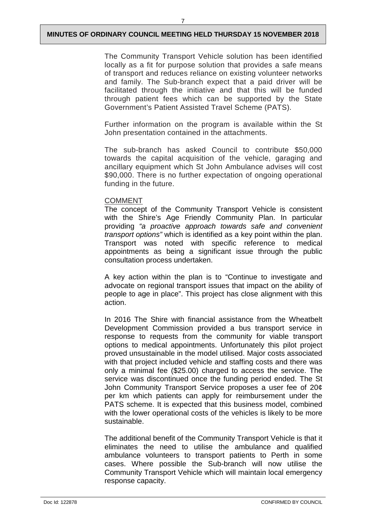The Community Transport Vehicle solution has been identified locally as a fit for purpose solution that provides a safe means of transport and reduces reliance on existing volunteer networks and family. The Sub-branch expect that a paid driver will be facilitated through the initiative and that this will be funded through patient fees which can be supported by the State Government's Patient Assisted Travel Scheme (PATS).

Further information on the program is available within the St John presentation contained in the attachments.

The sub-branch has asked Council to contribute \$50,000 towards the capital acquisition of the vehicle, garaging and ancillary equipment which St John Ambulance advises will cost \$90,000. There is no further expectation of ongoing operational funding in the future.

#### COMMENT

The concept of the Community Transport Vehicle is consistent with the Shire's Age Friendly Community Plan. In particular providing *"a proactive approach towards safe and convenient transport options"* which is identified as a key point within the plan. Transport was noted with specific reference to medical appointments as being a significant issue through the public consultation process undertaken.

A key action within the plan is to "Continue to investigate and advocate on regional transport issues that impact on the ability of people to age in place". This project has close alignment with this action.

In 2016 The Shire with financial assistance from the Wheatbelt Development Commission provided a bus transport service in response to requests from the community for viable transport options to medical appointments. Unfortunately this pilot project proved unsustainable in the model utilised. Major costs associated with that project included vehicle and staffing costs and there was only a minimal fee (\$25.00) charged to access the service. The service was discontinued once the funding period ended. The St John Community Transport Service proposes a user fee of 20¢ per km which patients can apply for reimbursement under the PATS scheme. It is expected that this business model, combined with the lower operational costs of the vehicles is likely to be more sustainable.

The additional benefit of the Community Transport Vehicle is that it eliminates the need to utilise the ambulance and qualified ambulance volunteers to transport patients to Perth in some cases. Where possible the Sub-branch will now utilise the Community Transport Vehicle which will maintain local emergency response capacity.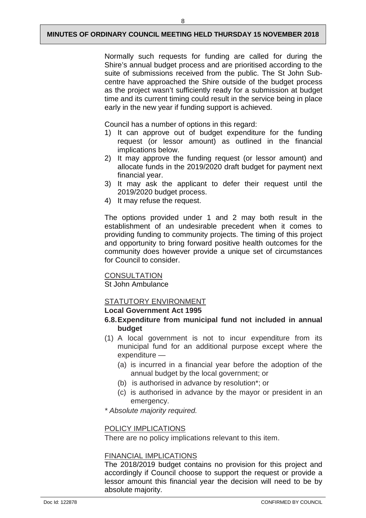Normally such requests for funding are called for during the Shire's annual budget process and are prioritised according to the suite of submissions received from the public. The St John Subcentre have approached the Shire outside of the budget process as the project wasn't sufficiently ready for a submission at budget time and its current timing could result in the service being in place early in the new year if funding support is achieved.

Council has a number of options in this regard:

- 1) It can approve out of budget expenditure for the funding request (or lessor amount) as outlined in the financial implications below.
- 2) It may approve the funding request (or lessor amount) and allocate funds in the 2019/2020 draft budget for payment next financial year.
- 3) It may ask the applicant to defer their request until the 2019/2020 budget process.
- 4) It may refuse the request.

The options provided under 1 and 2 may both result in the establishment of an undesirable precedent when it comes to providing funding to community projects. The timing of this project and opportunity to bring forward positive health outcomes for the community does however provide a unique set of circumstances for Council to consider.

#### **CONSULTATION**

St John Ambulance

#### STATUTORY ENVIRONMENT

#### **Local Government Act 1995**

- **6.8.Expenditure from municipal fund not included in annual budget**
- (1) A local government is not to incur expenditure from its municipal fund for an additional purpose except where the expenditure —
	- (a) is incurred in a financial year before the adoption of the annual budget by the local government; or
	- (b) is authorised in advance by resolution\*; or
	- (c) is authorised in advance by the mayor or president in an emergency.

*\* Absolute majority required.*

#### POLICY IMPLICATIONS

There are no policy implications relevant to this item.

#### FINANCIAL IMPLICATIONS

The 2018/2019 budget contains no provision for this project and accordingly if Council choose to support the request or provide a lessor amount this financial year the decision will need to be by absolute majority.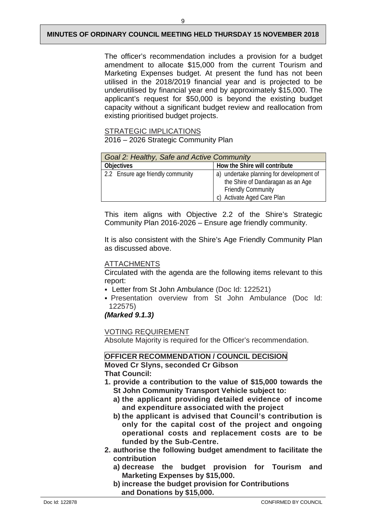The officer's recommendation includes a provision for a budget amendment to allocate \$15,000 from the current Tourism and Marketing Expenses budget. At present the fund has not been utilised in the 2018/2019 financial year and is projected to be underutilised by financial year end by approximately \$15,000. The applicant's request for \$50,000 is beyond the existing budget capacity without a significant budget review and reallocation from existing prioritised budget projects.

#### STRATEGIC IMPLICATIONS

2016 – 2026 Strategic Community Plan

| Goal 2: Healthy, Safe and Active Community |                                                                                                                                          |  |  |
|--------------------------------------------|------------------------------------------------------------------------------------------------------------------------------------------|--|--|
| <b>Objectives</b>                          | How the Shire will contribute                                                                                                            |  |  |
| 2.2 Ensure age friendly community          | a) undertake planning for development of<br>the Shire of Dandaragan as an Age<br><b>Friendly Community</b><br>c) Activate Aged Care Plan |  |  |

This item aligns with Objective 2.2 of the Shire's Strategic Community Plan 2016-2026 – Ensure age friendly community.

It is also consistent with the Shire's Age Friendly Community Plan as discussed above.

#### ATTACHMENTS

Circulated with the agenda are the following items relevant to this report:

- Letter from St John Ambulance (Doc Id: 122521)
- Presentation overview from St John Ambulance (Doc Id: 122575)

*(Marked 9.1.3)*

VOTING REQUIREMENT

Absolute Majority is required for the Officer's recommendation.

# **OFFICER RECOMMENDATION / COUNCIL DECISION**

**Moved Cr Slyns, seconded Cr Gibson That Council:**

- **1. provide a contribution to the value of \$15,000 towards the St John Community Transport Vehicle subject to:**
	- **a) the applicant providing detailed evidence of income and expenditure associated with the project**
	- **b) the applicant is advised that Council's contribution is only for the capital cost of the project and ongoing operational costs and replacement costs are to be funded by the Sub-Centre.**
- **2. authorise the following budget amendment to facilitate the contribution**
	- **a) decrease the budget provision for Tourism and Marketing Expenses by \$15,000.**
	- **b) increase the budget provision for Contributions and Donations by \$15,000.**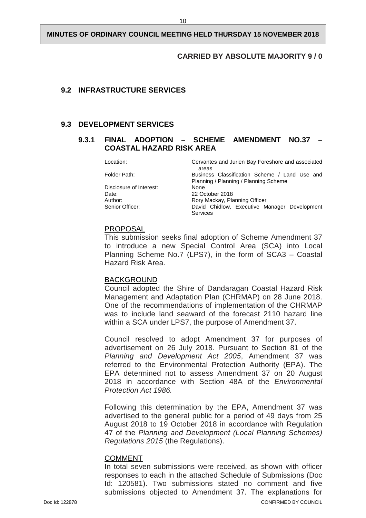#### **CARRIED BY ABSOLUTE MAJORITY 9 / 0**

#### <span id="page-12-0"></span>**9.2 INFRASTRUCTURE SERVICES**

#### <span id="page-12-2"></span><span id="page-12-1"></span>**9.3 DEVELOPMENT SERVICES**

#### **9.3.1 FINAL ADOPTION – SCHEME AMENDMENT NO.37 – COASTAL HAZARD RISK AREA**

Location: Cervantes and Jurien Bay Foreshore and associated areas Folder Path: Business Classification Scheme / Land Use and Planning / Planning / Planning Scheme Disclosure of Interest: None<br>
Date: 22 Oc Date: 22 October 2018 Author: Rory Mackay, Planning Officer<br>
Senior Officer: Senior Chicago David Chidlow. Executive M David Chidlow, Executive Manager Development Services

#### PROPOSAL

This submission seeks final adoption of Scheme Amendment 37 to introduce a new Special Control Area (SCA) into Local Planning Scheme No.7 (LPS7), in the form of SCA3 – Coastal Hazard Risk Area.

#### BACKGROUND

Council adopted the Shire of Dandaragan Coastal Hazard Risk Management and Adaptation Plan (CHRMAP) on 28 June 2018. One of the recommendations of implementation of the CHRMAP was to include land seaward of the forecast 2110 hazard line within a SCA under LPS7, the purpose of Amendment 37.

Council resolved to adopt Amendment 37 for purposes of advertisement on 26 July 2018. Pursuant to Section 81 of the *Planning and Development Act 2005*, Amendment 37 was referred to the Environmental Protection Authority (EPA). The EPA determined not to assess Amendment 37 on 20 August 2018 in accordance with Section 48A of the *Environmental Protection Act 1986.*

Following this determination by the EPA, Amendment 37 was advertised to the general public for a period of 49 days from 25 August 2018 to 19 October 2018 in accordance with Regulation 47 of the *Planning and Development (Local Planning Schemes) Regulations 2015* (the Regulations).

#### COMMENT

In total seven submissions were received, as shown with officer responses to each in the attached Schedule of Submissions (Doc Id: 120581). Two submissions stated no comment and five submissions objected to Amendment 37. The explanations for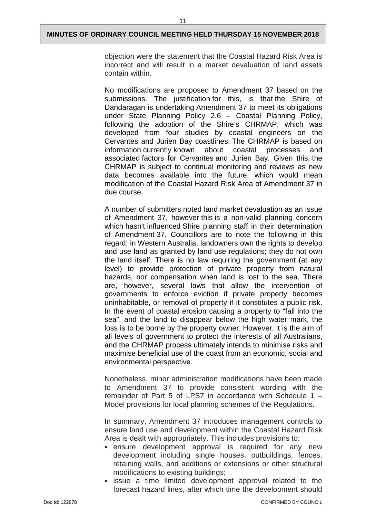objection were the statement that the Coastal Hazard Risk Area is incorrect and will result in a market devaluation of land assets contain within.

No modifications are proposed to Amendment 37 based on the submissions. The justification for this, is that the Shire of Dandaragan is undertaking Amendment 37 to meet its obligations under State Planning Policy 2.6 – Coastal Planning Policy, following the adoption of the Shire's CHRMAP, which was developed from four studies by coastal engineers on the Cervantes and Jurien Bay coastlines. The CHRMAP is based on information currently known about coastal processes and associated factors for Cervantes and Jurien Bay. Given this, the CHRMAP is subject to continual monitoring and reviews as new data becomes available into the future, which would mean modification of the Coastal Hazard Risk Area of Amendment 37 in due course.

A number of submitters noted land market devaluation as an issue of Amendment 37, however this is a non-valid planning concern which hasn't influenced Shire planning staff in their determination of Amendment 37. Councillors are to note the following in this regard; in Western Australia, landowners own the rights to develop and use land as granted by land use regulations; they do not own the land itself. There is no law requiring the government (at any level) to provide protection of private property from natural hazards, nor compensation when land is lost to the sea. There are, however, several laws that allow the intervention of governments to enforce eviction if private property becomes uninhabitable, or removal of property if it constitutes a public risk. In the event of coastal erosion causing a property to "fall into the sea", and the land to disappear below the high water mark, the loss is to be borne by the property owner. However, it is the aim of all levels of government to protect the interests of all Australians, and the CHRMAP process ultimately intends to minimise risks and maximise beneficial use of the coast from an economic, social and environmental perspective.

Nonetheless, minor administration modifications have been made to Amendment 37 to provide consistent wording with the remainder of Part 5 of LPS7 in accordance with Schedule 1 – Model provisions for local planning schemes of the Regulations.

In summary, Amendment 37 introduces management controls to ensure land use and development within the Coastal Hazard Risk Area is dealt with appropriately. This includes provisions to:

- ensure development approval is required for any new development including single houses, outbuildings, fences, retaining walls, and additions or extensions or other structural modifications to existing buildings;
- issue a time limited development approval related to the forecast hazard lines, after which time the development should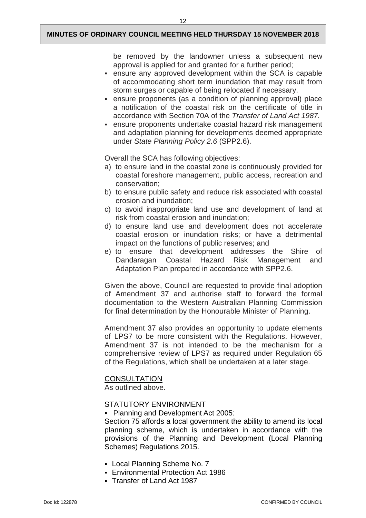12

be removed by the landowner unless a subsequent new approval is applied for and granted for a further period;

- ensure any approved development within the SCA is capable of accommodating short term inundation that may result from storm surges or capable of being relocated if necessary.
- ensure proponents (as a condition of planning approval) place a notification of the coastal risk on the certificate of title in accordance with Section 70A of the *Transfer of Land Act 1987.*
- ensure proponents undertake coastal hazard risk management and adaptation planning for developments deemed appropriate under *State Planning Policy 2.6* (SPP2.6).

Overall the SCA has following objectives:

- a) to ensure land in the coastal zone is continuously provided for coastal foreshore management, public access, recreation and conservation;
- b) to ensure public safety and reduce risk associated with coastal erosion and inundation;
- c) to avoid inappropriate land use and development of land at risk from coastal erosion and inundation;
- d) to ensure land use and development does not accelerate coastal erosion or inundation risks; or have a detrimental impact on the functions of public reserves; and
- e) to ensure that development addresses the Shire of Dandaragan Coastal Hazard Adaptation Plan prepared in accordance with SPP2.6.

Given the above, Council are requested to provide final adoption of Amendment 37 and authorise staff to forward the formal documentation to the Western Australian Planning Commission for final determination by the Honourable Minister of Planning.

Amendment 37 also provides an opportunity to update elements of LPS7 to be more consistent with the Regulations. However, Amendment 37 is not intended to be the mechanism for a comprehensive review of LPS7 as required under Regulation 65 of the Regulations, which shall be undertaken at a later stage.

#### **CONSULTATION**

As outlined above.

#### STATUTORY ENVIRONMENT

Planning and Development Act 2005:

Section 75 affords a local government the ability to amend its local planning scheme, which is undertaken in accordance with the provisions of the Planning and Development (Local Planning Schemes) Regulations 2015.

- Local Planning Scheme No. 7
- Environmental Protection Act 1986
- Transfer of Land Act 1987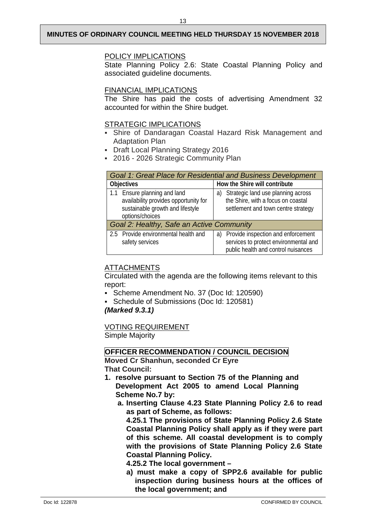#### POLICY IMPLICATIONS

State Planning Policy 2.6: State Coastal Planning Policy and associated guideline documents.

#### FINANCIAL IMPLICATIONS

The Shire has paid the costs of advertising Amendment 32 accounted for within the Shire budget.

#### STRATEGIC IMPLICATIONS

- Shire of Dandaragan Coastal Hazard Risk Management and Adaptation Plan
- Draft Local Planning Strategy 2016
- 2016 2026 Strategic Community Plan

| Goal 1: Great Place for Residential and Business Development                                                                 |                                                                                                                       |  |  |  |
|------------------------------------------------------------------------------------------------------------------------------|-----------------------------------------------------------------------------------------------------------------------|--|--|--|
| <b>Objectives</b>                                                                                                            | How the Shire will contribute                                                                                         |  |  |  |
| 1.1 Ensure planning and land<br>availability provides opportunity for<br>sustainable growth and lifestyle<br>options/choices | a) Strategic land use planning across<br>the Shire, with a focus on coastal<br>settlement and town centre strategy    |  |  |  |
| Goal 2: Healthy, Safe an Active Community                                                                                    |                                                                                                                       |  |  |  |
| 2.5 Provide environmental health and<br>safety services                                                                      | a) Provide inspection and enforcement<br>services to protect environmental and<br>public health and control nuisances |  |  |  |

#### ATTACHMENTS

Circulated with the agenda are the following items relevant to this report:

- Scheme Amendment No. 37 (Doc Id: 120590)
- Schedule of Submissions (Doc Id: 120581)

#### *(Marked 9.3.1)*

VOTING REQUIREMENT

Simple Majority

#### **OFFICER RECOMMENDATION / COUNCIL DECISION**

**Moved Cr Shanhun, seconded Cr Eyre That Council:** 

- **1. resolve pursuant to Section 75 of the Planning and Development Act 2005 to amend Local Planning Scheme No.7 by:**
	- **a. Inserting Clause 4.23 State Planning Policy 2.6 to read as part of Scheme, as follows:**

**4.25.1 The provisions of State Planning Policy 2.6 State Coastal Planning Policy shall apply as if they were part of this scheme. All coastal development is to comply with the provisions of State Planning Policy 2.6 State Coastal Planning Policy.**

**4.25.2 The local government –**

**a) must make a copy of SPP2.6 available for public inspection during business hours at the offices of the local government; and**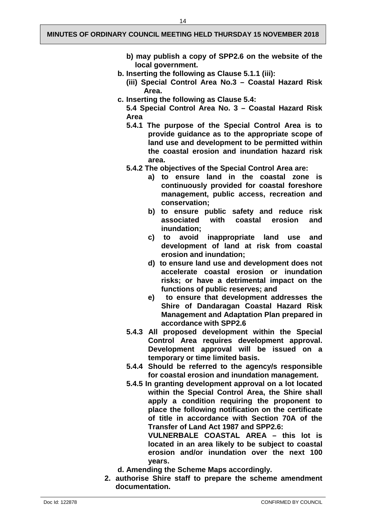- **b) may publish a copy of SPP2.6 on the website of the local government.**
- **b. Inserting the following as Clause 5.1.1 (iii):**
	- **(iii) Special Control Area No.3 – Coastal Hazard Risk Area.**
- **c. Inserting the following as Clause 5.4:**
	- **5.4 Special Control Area No. 3 – Coastal Hazard Risk Area**
	- **5.4.1 The purpose of the Special Control Area is to provide guidance as to the appropriate scope of land use and development to be permitted within the coastal erosion and inundation hazard risk area.**
	- **5.4.2 The objectives of the Special Control Area are:**
		- **a) to ensure land in the coastal zone is continuously provided for coastal foreshore management, public access, recreation and conservation;**
		- **b) to ensure public safety and reduce risk associated with coastal erosion and inundation;**
		- **c) to avoid inappropriate land use and development of land at risk from coastal erosion and inundation;**
		- **d) to ensure land use and development does not accelerate coastal erosion or inundation risks; or have a detrimental impact on the functions of public reserves; and**
		- **e) to ensure that development addresses the Shire of Dandaragan Coastal Hazard Risk Management and Adaptation Plan prepared in accordance with SPP2.6**
	- **5.4.3 All proposed development within the Special Control Area requires development approval. Development approval will be issued on a temporary or time limited basis.**
	- **5.4.4 Should be referred to the agency/s responsible for coastal erosion and inundation management.**
	- **5.4.5 In granting development approval on a lot located within the Special Control Area, the Shire shall apply a condition requiring the proponent to place the following notification on the certificate of title in accordance with Section 70A of the Transfer of Land Act 1987 and SPP2.6:**

**VULNERBALE COASTAL AREA – this lot is located in an area likely to be subject to coastal erosion and/or inundation over the next 100 years.**

**d. Amending the Scheme Maps accordingly.**

**2. authorise Shire staff to prepare the scheme amendment documentation.**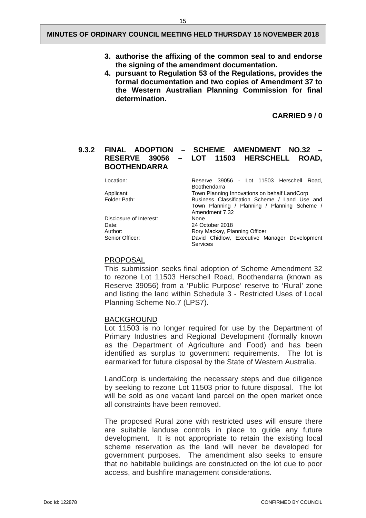- **3. authorise the affixing of the common seal to and endorse the signing of the amendment documentation.**
- **4. pursuant to Regulation 53 of the Regulations, provides the formal documentation and two copies of Amendment 37 to the Western Australian Planning Commission for final determination.**

**CARRIED 9 / 0**

#### <span id="page-17-0"></span>**9.3.2 FINAL ADOPTION – SCHEME AMENDMENT NO.32 –** LOT 11503 HERSCHELL ROAD, **BOOTHENDARRA**

| Location:               | Reserve 39056 - Lot 11503 Herschell Road,<br>Boothendarra                                                       |  |  |  |  |
|-------------------------|-----------------------------------------------------------------------------------------------------------------|--|--|--|--|
| Applicant:              | Town Planning Innovations on behalf LandCorp                                                                    |  |  |  |  |
| Folder Path:            | Business Classification Scheme / Land Use and<br>Town Planning / Planning / Planning Scheme /<br>Amendment 7.32 |  |  |  |  |
| Disclosure of Interest: | None                                                                                                            |  |  |  |  |
| Date:                   | 24 October 2018                                                                                                 |  |  |  |  |
| Author:                 | Rory Mackay, Planning Officer                                                                                   |  |  |  |  |
| Senior Officer:         | David Chidlow, Executive Manager Development<br>Services                                                        |  |  |  |  |

#### PROPOSAL

This submission seeks final adoption of Scheme Amendment 32 to rezone Lot 11503 Herschell Road, Boothendarra (known as Reserve 39056) from a 'Public Purpose' reserve to 'Rural' zone and listing the land within Schedule 3 - Restricted Uses of Local Planning Scheme No.7 (LPS7).

#### BACKGROUND

Lot 11503 is no longer required for use by the Department of Primary Industries and Regional Development (formally known as the Department of Agriculture and Food) and has been identified as surplus to government requirements. The lot is earmarked for future disposal by the State of Western Australia.

LandCorp is undertaking the necessary steps and due diligence by seeking to rezone Lot 11503 prior to future disposal. The lot will be sold as one vacant land parcel on the open market once all constraints have been removed.

The proposed Rural zone with restricted uses will ensure there are suitable landuse controls in place to guide any future development. It is not appropriate to retain the existing local scheme reservation as the land will never be developed for government purposes. The amendment also seeks to ensure that no habitable buildings are constructed on the lot due to poor access, and bushfire management considerations.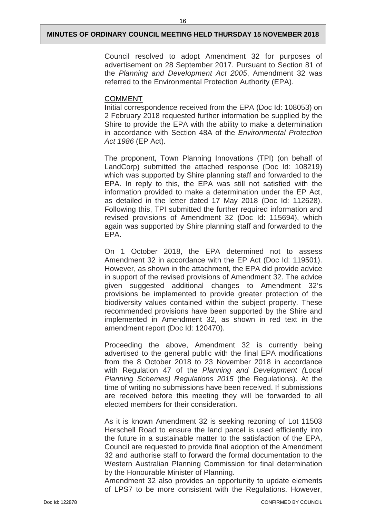Council resolved to adopt Amendment 32 for purposes of advertisement on 28 September 2017. Pursuant to Section 81 of the *Planning and Development Act 2005*, Amendment 32 was referred to the Environmental Protection Authority (EPA).

#### COMMENT

Initial correspondence received from the EPA (Doc Id: 108053) on 2 February 2018 requested further information be supplied by the Shire to provide the EPA with the ability to make a determination in accordance with Section 48A of the *Environmental Protection Act 1986* (EP Act).

The proponent, Town Planning Innovations (TPI) (on behalf of LandCorp) submitted the attached response (Doc Id: 108219) which was supported by Shire planning staff and forwarded to the EPA. In reply to this, the EPA was still not satisfied with the information provided to make a determination under the EP Act, as detailed in the letter dated 17 May 2018 (Doc Id: 112628). Following this, TPI submitted the further required information and revised provisions of Amendment 32 (Doc Id: 115694), which again was supported by Shire planning staff and forwarded to the EPA.

On 1 October 2018, the EPA determined not to assess Amendment 32 in accordance with the EP Act (Doc Id: 119501). However, as shown in the attachment, the EPA did provide advice in support of the revised provisions of Amendment 32. The advice given suggested additional changes to Amendment 32's provisions be implemented to provide greater protection of the biodiversity values contained within the subject property. These recommended provisions have been supported by the Shire and implemented in Amendment 32, as shown in red text in the amendment report (Doc Id: 120470).

Proceeding the above, Amendment 32 is currently being advertised to the general public with the final EPA modifications from the 8 October 2018 to 23 November 2018 in accordance with Regulation 47 of the *Planning and Development (Local Planning Schemes) Regulations 2015* (the Regulations). At the time of writing no submissions have been received. If submissions are received before this meeting they will be forwarded to all elected members for their consideration.

As it is known Amendment 32 is seeking rezoning of Lot 11503 Herschell Road to ensure the land parcel is used efficiently into the future in a sustainable matter to the satisfaction of the EPA, Council are requested to provide final adoption of the Amendment 32 and authorise staff to forward the formal documentation to the Western Australian Planning Commission for final determination by the Honourable Minister of Planning.

Amendment 32 also provides an opportunity to update elements of LPS7 to be more consistent with the Regulations. However,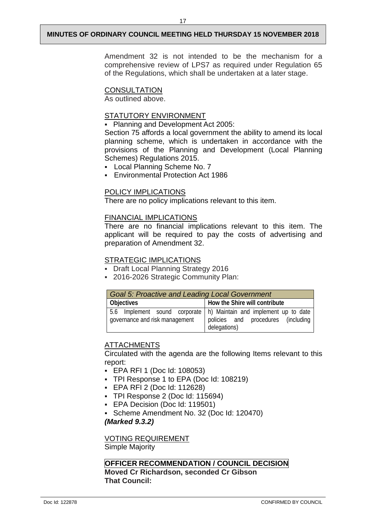Amendment 32 is not intended to be the mechanism for a comprehensive review of LPS7 as required under Regulation 65 of the Regulations, which shall be undertaken at a later stage.

#### **CONSULTATION**

As outlined above.

#### STATUTORY ENVIRONMENT

**Planning and Development Act 2005:** 

Section 75 affords a local government the ability to amend its local planning scheme, which is undertaken in accordance with the provisions of the Planning and Development (Local Planning Schemes) Regulations 2015.

- Local Planning Scheme No. 7
- Environmental Protection Act 1986

#### POLICY IMPLICATIONS

There are no policy implications relevant to this item.

#### FINANCIAL IMPLICATIONS

There are no financial implications relevant to this item. The applicant will be required to pay the costs of advertising and preparation of Amendment 32.

#### STRATEGIC IMPLICATIONS

- Draft Local Planning Strategy 2016
- 2016-2026 Strategic Community Plan:

| <b>Goal 5: Proactive and Leading Local Government</b> |                                                                                                                            |  |  |  |  |
|-------------------------------------------------------|----------------------------------------------------------------------------------------------------------------------------|--|--|--|--|
| Objectives                                            | How the Shire will contribute                                                                                              |  |  |  |  |
| governance and risk management                        | 5.6 Implement sound corporate   h) Maintain and implement up to date<br>policies and procedures (including<br>delegations) |  |  |  |  |

#### ATTACHMENTS

Circulated with the agenda are the following Items relevant to this report:

- EPA RFI 1 (Doc Id: 108053)
- TPI Response 1 to EPA (Doc Id: 108219)
- EPA RFI 2 (Doc Id: 112628)
- TPI Response 2 (Doc Id: 115694)
- **EPA Decision (Doc Id: 119501)**
- Scheme Amendment No. 32 (Doc Id: 120470)

*(Marked 9.3.2)*

VOTING REQUIREMENT

Simple Majority

#### **OFFICER RECOMMENDATION / COUNCIL DECISION**

**Moved Cr Richardson, seconded Cr Gibson That Council:**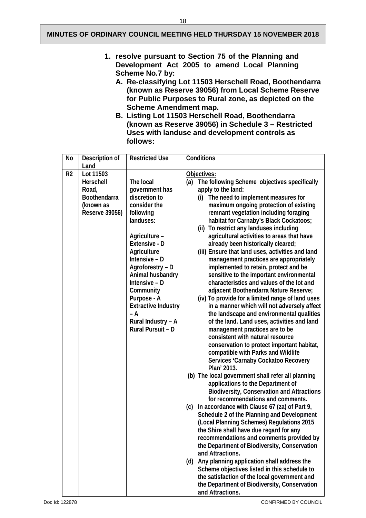- **1. resolve pursuant to Section 75 of the Planning and Development Act 2005 to amend Local Planning Scheme No.7 by:**
	- **A. Re-classifying Lot 11503 Herschell Road, Boothendarra (known as Reserve 39056) from Local Scheme Reserve for Public Purposes to Rural zone, as depicted on the Scheme Amendment map.**
	- **B. Listing Lot 11503 Herschell Road, Boothendarra (known as Reserve 39056) in Schedule 3 – Restricted Uses with landuse and development controls as follows:**

| No             | Description of<br>Land                                                                | <b>Restricted Use</b>                                                                                                                                                                                                                                                                                                         | Conditions                                                                                                                                                                                                                                                                                                                                                                                                                                                                                                                                                                                                                                                                                                                                                                                                                                                                                                                                                                                                                                                                                                                                                                                                                                                                                                                                                                                                                                                                                                                                                                                                                                                                                                                                                                                                       |
|----------------|---------------------------------------------------------------------------------------|-------------------------------------------------------------------------------------------------------------------------------------------------------------------------------------------------------------------------------------------------------------------------------------------------------------------------------|------------------------------------------------------------------------------------------------------------------------------------------------------------------------------------------------------------------------------------------------------------------------------------------------------------------------------------------------------------------------------------------------------------------------------------------------------------------------------------------------------------------------------------------------------------------------------------------------------------------------------------------------------------------------------------------------------------------------------------------------------------------------------------------------------------------------------------------------------------------------------------------------------------------------------------------------------------------------------------------------------------------------------------------------------------------------------------------------------------------------------------------------------------------------------------------------------------------------------------------------------------------------------------------------------------------------------------------------------------------------------------------------------------------------------------------------------------------------------------------------------------------------------------------------------------------------------------------------------------------------------------------------------------------------------------------------------------------------------------------------------------------------------------------------------------------|
| R <sub>2</sub> | Lot 11503<br>Herschell<br>Road,<br>Boothendarra<br>(known as<br><b>Reserve 39056)</b> | The local<br>government has<br>discretion to<br>consider the<br>following<br>landuses:<br>Agriculture -<br>Extensive - D<br>Agriculture<br>Intensive - D<br>Agroforestry - D<br>Animal husbandry<br>Intensive - D<br>Community<br>Purpose - A<br><b>Extractive Industry</b><br>– A<br>Rural Industry - A<br>Rural Pursuit - D | Objectives:<br>(a) The following Scheme objectives specifically<br>apply to the land:<br>(i) The need to implement measures for<br>maximum ongoing protection of existing<br>remnant vegetation including foraging<br>habitat for Carnaby's Black Cockatoos;<br>To restrict any landuses including<br>(ii)<br>agricultural activities to areas that have<br>already been historically cleared;<br>(iii) Ensure that land uses, activities and land<br>management practices are appropriately<br>implemented to retain, protect and be<br>sensitive to the important environmental<br>characteristics and values of the lot and<br>adjacent Boothendarra Nature Reserve;<br>(iv) To provide for a limited range of land uses<br>in a manner which will not adversely affect<br>the landscape and environmental qualities<br>of the land. Land uses, activities and land<br>management practices are to be<br>consistent with natural resource<br>conservation to protect important habitat,<br>compatible with Parks and Wildlife<br>Services 'Carnaby Cockatoo Recovery<br>Plan' 2013.<br>(b) The local government shall refer all planning<br>applications to the Department of<br><b>Biodiversity, Conservation and Attractions</b><br>for recommendations and comments.<br>In accordance with Clause 67 (za) of Part 9,<br>(c)<br>Schedule 2 of the Planning and Development<br>(Local Planning Schemes) Regulations 2015<br>the Shire shall have due regard for any<br>recommendations and comments provided by<br>the Department of Biodiversity, Conservation<br>and Attractions.<br>Any planning application shall address the<br>(d)<br>Scheme objectives listed in this schedule to<br>the satisfaction of the local government and<br>the Department of Biodiversity, Conservation<br>and Attractions. |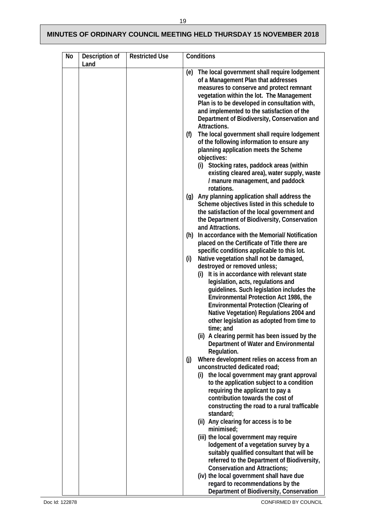|  | (f) | (e) The local government shall require lodgement<br>of a Management Plan that addresses<br>measures to conserve and protect remnant<br>vegetation within the lot. The Management<br>Plan is to be developed in consultation with,<br>and implemented to the satisfaction of the<br>Department of Biodiversity, Conservation and<br>Attractions.<br>The local government shall require lodgement<br>of the following information to ensure any<br>planning application meets the Scheme<br>objectives:<br>(i) Stocking rates, paddock areas (within<br>existing cleared area), water supply, waste<br>/ manure management, and paddock                                                  |
|--|-----|----------------------------------------------------------------------------------------------------------------------------------------------------------------------------------------------------------------------------------------------------------------------------------------------------------------------------------------------------------------------------------------------------------------------------------------------------------------------------------------------------------------------------------------------------------------------------------------------------------------------------------------------------------------------------------------|
|  |     | rotations.<br>(g) Any planning application shall address the<br>Scheme objectives listed in this schedule to<br>the satisfaction of the local government and<br>the Department of Biodiversity, Conservation<br>and Attractions.<br>(h) In accordance with the Memorial/Notification<br>placed on the Certificate of Title there are<br>specific conditions applicable to this lot.<br>Native vegetation shall not be damaged,                                                                                                                                                                                                                                                         |
|  |     | destroyed or removed unless;<br>(i) It is in accordance with relevant state<br>legislation, acts, regulations and<br>guidelines. Such legislation includes the<br>Environmental Protection Act 1986, the<br><b>Environmental Protection (Clearing of</b><br>Native Vegetation) Regulations 2004 and<br>other legislation as adopted from time to<br>time; and<br>(ii) A clearing permit has been issued by the<br>Department of Water and Environmental                                                                                                                                                                                                                                |
|  | (i) | Regulation.<br>Where development relies on access from an<br>unconstructed dedicated road;<br>the local government may grant approval<br>(i)<br>to the application subject to a condition<br>requiring the applicant to pay a<br>contribution towards the cost of<br>constructing the road to a rural trafficable<br>standard;<br>(ii) Any clearing for access is to be<br>minimised;<br>(iii) the local government may require<br>lodgement of a vegetation survey by a<br>suitably qualified consultant that will be<br>referred to the Department of Biodiversity,<br>Conservation and Attractions;<br>(iv) the local government shall have due<br>regard to recommendations by the |
|  |     | (i)                                                                                                                                                                                                                                                                                                                                                                                                                                                                                                                                                                                                                                                                                    |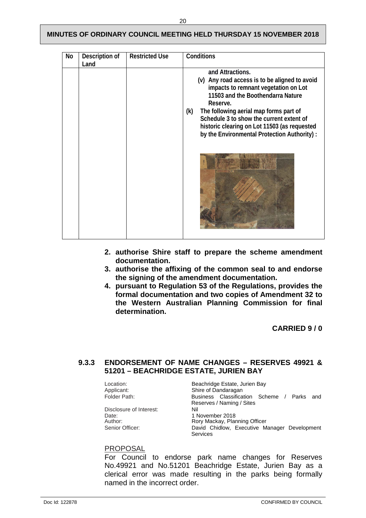| No | Description of<br>Land | <b>Restricted Use</b> | Conditions                                                                                                                                                                                                                                                                                                                                              |
|----|------------------------|-----------------------|---------------------------------------------------------------------------------------------------------------------------------------------------------------------------------------------------------------------------------------------------------------------------------------------------------------------------------------------------------|
|    |                        |                       | and Attractions.<br>(v) Any road access is to be aligned to avoid<br>impacts to remnant vegetation on Lot<br>11503 and the Boothendarra Nature<br>Reserve.<br>(k)<br>The following aerial map forms part of<br>Schedule 3 to show the current extent of<br>historic clearing on Lot 11503 (as requested<br>by the Environmental Protection Authority) : |

- **2. authorise Shire staff to prepare the scheme amendment documentation.**
- **3. authorise the affixing of the common seal to and endorse the signing of the amendment documentation.**
- **4. pursuant to Regulation 53 of the Regulations, provides the formal documentation and two copies of Amendment 32 to the Western Australian Planning Commission for final determination.**

**CARRIED 9 / 0** 

#### <span id="page-22-0"></span>**9.3.3 ENDORSEMENT OF NAME CHANGES – RESERVES 49921 & 51201 – BEACHRIDGE ESTATE, JURIEN BAY**

Location: Beachridge Estate, Jurien Bay<br>
Applicant: Shire of Dandaragan Applicant: Shire of Dandaragan<br>
Folder Path: Shire Business Classifica Business Classification Scheme / Parks and Reserves / Naming / Sites Disclosure of Interest: Date: 1 November 2018<br>
Author: 1 November 2018<br>
Rory Mackay, Plan Author: **Rory Mackay, Planning Officer**<br> **Rory Mackay, Planning Officer**<br> **David Chidlow. Executive Mackay** David Chidlow, Executive Manager Development Services

#### PROPOSAL

For Council to endorse park name changes for Reserves No.49921 and No.51201 Beachridge Estate, Jurien Bay as a clerical error was made resulting in the parks being formally named in the incorrect order.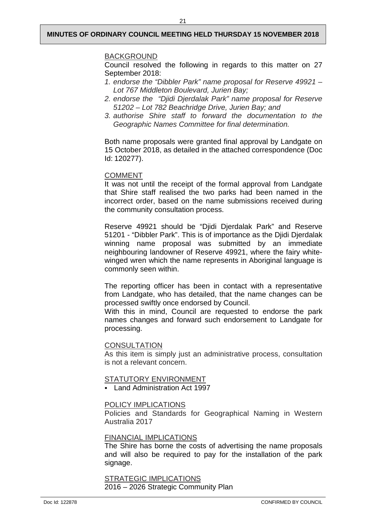#### BACKGROUND

Council resolved the following in regards to this matter on 27 September 2018:

- *1. endorse the "Dibbler Park" name proposal for Reserve 49921 – Lot 767 Middleton Boulevard, Jurien Bay;*
- *2. endorse the "Djidi Djerdalak Park" name proposal for Reserve 51202 – Lot 782 Beachridge Drive, Jurien Bay; and*
- *3. authorise Shire staff to forward the documentation to the Geographic Names Committee for final determination.*

Both name proposals were granted final approval by Landgate on 15 October 2018, as detailed in the attached correspondence (Doc Id: 120277).

#### COMMENT

It was not until the receipt of the formal approval from Landgate that Shire staff realised the two parks had been named in the incorrect order, based on the name submissions received during the community consultation process.

Reserve 49921 should be "Djidi Djerdalak Park" and Reserve 51201 - "Dibbler Park". This is of importance as the Djidi Djerdalak winning name proposal was submitted by an immediate neighbouring landowner of Reserve 49921, where the fairy whitewinged wren which the name represents in Aboriginal language is commonly seen within.

The reporting officer has been in contact with a representative from Landgate, who has detailed, that the name changes can be processed swiftly once endorsed by Council.

With this in mind, Council are requested to endorse the park names changes and forward such endorsement to Landgate for processing.

#### **CONSULTATION**

As this item is simply just an administrative process, consultation is not a relevant concern.

#### STATUTORY ENVIRONMENT

**Land Administration Act 1997** 

#### POLICY IMPLICATIONS

Policies and Standards for Geographical Naming in Western Australia 2017

#### FINANCIAL IMPLICATIONS

The Shire has borne the costs of advertising the name proposals and will also be required to pay for the installation of the park signage.

#### STRATEGIC IMPLICATIONS 2016 – 2026 Strategic Community Plan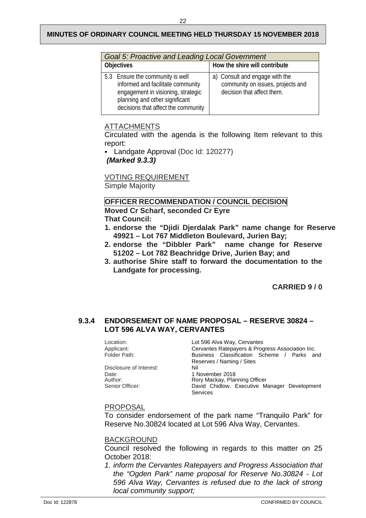| <b>Goal 5: Proactive and Leading Local Government</b>                                                                                                                                |                                                                                                   |  |  |  |  |
|--------------------------------------------------------------------------------------------------------------------------------------------------------------------------------------|---------------------------------------------------------------------------------------------------|--|--|--|--|
| <b>Objectives</b>                                                                                                                                                                    | How the shire will contribute                                                                     |  |  |  |  |
| 5.3 Ensure the community is well<br>informed and facilitate community<br>engagement in visioning, strategic<br>planning and other significant<br>decisions that affect the community | a) Consult and engage with the<br>community on issues, projects and<br>decision that affect them. |  |  |  |  |

### ATTACHMENTS

Circulated with the agenda is the following Item relevant to this report:

 Landgate Approval (Doc Id: 120277) *(Marked 9.3.3)*

VOTING REQUIREMENT Simple Majority

#### **OFFICER RECOMMENDATION / COUNCIL DECISION**

**Moved Cr Scharf, seconded Cr Eyre That Council:** 

- **1. endorse the "Djidi Djerdalak Park" name change for Reserve 49921 – Lot 767 Middleton Boulevard, Jurien Bay;**
- **2. endorse the "Dibbler Park" name change for Reserve 51202 – Lot 782 Beachridge Drive, Jurien Bay; and**
- **3. authorise Shire staff to forward the documentation to the Landgate for processing.**

**CARRIED 9 / 0**

### <span id="page-24-0"></span>**9.3.4 ENDORSEMENT OF NAME PROPOSAL – RESERVE 30824 – LOT 596 ALVA WAY, CERVANTES**

| Location:               | Lot 596 Alva Way, Cervantes                      |  |  |
|-------------------------|--------------------------------------------------|--|--|
| Applicant:              | Cervantes Ratepayers & Progress Association Inc. |  |  |
| Folder Path:            | Business Classification Scheme / Parks and       |  |  |
|                         | Reserves / Naming / Sites                        |  |  |
| Disclosure of Interest: | Nil                                              |  |  |
| Date:                   | 1 November 2018                                  |  |  |
| Author:                 | Rory Mackay, Planning Officer                    |  |  |
| Senior Officer:         | David Chidlow, Executive Manager Development     |  |  |
|                         | <b>Services</b>                                  |  |  |

#### PROPOSAL

To consider endorsement of the park name "Tranquilo Park" for Reserve No.30824 located at Lot 596 Alva Way, Cervantes.

#### **BACKGROUND**

Council resolved the following in regards to this matter on 25 October 2018:

*1. inform the Cervantes Ratepayers and Progress Association that the "Ogden Park" name proposal for Reserve No.30824 - Lot 596 Alva Way, Cervantes is refused due to the lack of strong local community support;*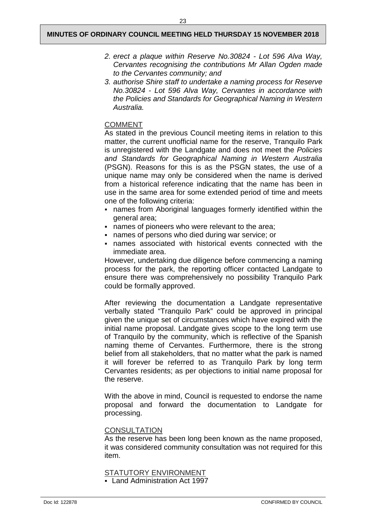- *2. erect a plaque within Reserve No.30824 - Lot 596 Alva Way, Cervantes recognising the contributions Mr Allan Ogden made to the Cervantes community; and*
- *3. authorise Shire staff to undertake a naming process for Reserve No.30824 - Lot 596 Alva Way, Cervantes in accordance with the Policies and Standards for Geographical Naming in Western Australia.*

#### COMMENT

As stated in the previous Council meeting items in relation to this matter, the current unofficial name for the reserve, Tranquilo Park is unregistered with the Landgate and does not meet the *Policies and Standards for Geographical Naming in Western Australia*  (PSGN). Reasons for this is as the PSGN states, the use of a unique name may only be considered when the name is derived from a historical reference indicating that the name has been in use in the same area for some extended period of time and meets one of the following criteria:

- names from Aboriginal languages formerly identified within the general area;
- names of pioneers who were relevant to the area;
- names of persons who died during war service; or
- names associated with historical events connected with the immediate area.

However, undertaking due diligence before commencing a naming process for the park, the reporting officer contacted Landgate to ensure there was comprehensively no possibility Tranquilo Park could be formally approved.

After reviewing the documentation a Landgate representative verbally stated "Tranquilo Park" could be approved in principal given the unique set of circumstances which have expired with the initial name proposal. Landgate gives scope to the long term use of Tranquilo by the community, which is reflective of the Spanish naming theme of Cervantes. Furthermore, there is the strong belief from all stakeholders, that no matter what the park is named it will forever be referred to as Tranquilo Park by long term Cervantes residents; as per objections to initial name proposal for the reserve.

With the above in mind, Council is requested to endorse the name proposal and forward the documentation to Landgate for processing.

#### **CONSULTATION**

As the reserve has been long been known as the name proposed, it was considered community consultation was not required for this item.

#### STATUTORY ENVIRONMENT

**Land Administration Act 1997**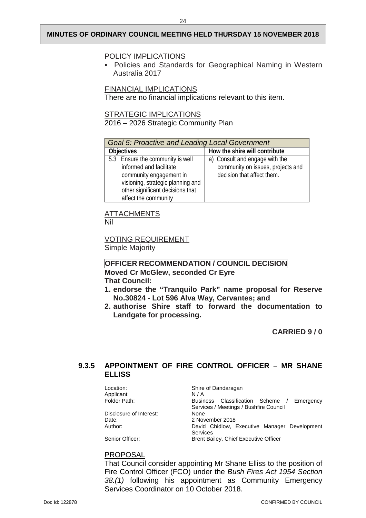#### POLICY IMPLICATIONS

 Policies and Standards for Geographical Naming in Western Australia 2017

FINANCIAL IMPLICATIONS

There are no financial implications relevant to this item.

STRATEGIC IMPLICATIONS

2016 – 2026 Strategic Community Plan

| <b>Goal 5: Proactive and Leading Local Government</b> |                                   |  |  |  |  |
|-------------------------------------------------------|-----------------------------------|--|--|--|--|
| <b>Objectives</b>                                     | How the shire will contribute     |  |  |  |  |
| 5.3 Ensure the community is well                      | a) Consult and engage with the    |  |  |  |  |
| informed and facilitate                               | community on issues, projects and |  |  |  |  |
| community engagement in                               | decision that affect them.        |  |  |  |  |
| visioning, strategic planning and                     |                                   |  |  |  |  |
| other significant decisions that                      |                                   |  |  |  |  |
| affect the community                                  |                                   |  |  |  |  |

#### ATTACHMENTS Nil

VOTING REQUIREMENT

Simple Majority

#### **OFFICER RECOMMENDATION / COUNCIL DECISION Moved Cr McGlew, seconded Cr Eyre That Council:**

- **1. endorse the "Tranquilo Park" name proposal for Reserve No.30824 - Lot 596 Alva Way, Cervantes; and**
- **2. authorise Shire staff to forward the documentation to Landgate for processing.**

**CARRIED 9 / 0** 

#### <span id="page-26-0"></span>**9.3.5 APPOINTMENT OF FIRE CONTROL OFFICER – MR SHANE ELLISS**

Location: Shire of Dandaragan<br>Applicant: N/A Applicant:<br>Folder Path: Business Classification Scheme / Emergency Services / Meetings / Bushfire Council Disclosure of Interest:<br>Date: Date: 2018<br>
Author: 2018<br>
David Chidlow David Chidlow, Executive Manager Development Services Senior Officer: Brent Bailey, Chief Executive Officer

#### PROPOSAL

That Council consider appointing Mr Shane Elliss to the position of Fire Control Officer (FCO) under the *Bush Fires Act 1954 Section 38.(1)* following his appointment as Community Emergency Services Coordinator on 10 October 2018.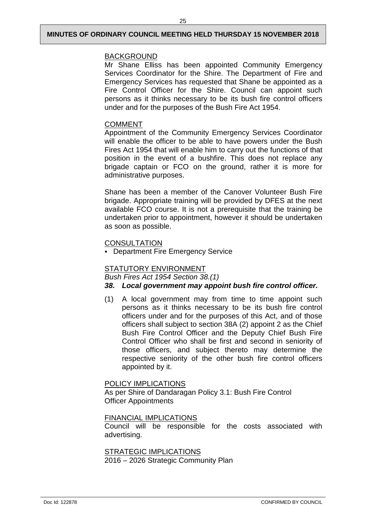#### **BACKGROUND**

Mr Shane Elliss has been appointed Community Emergency Services Coordinator for the Shire. The Department of Fire and Emergency Services has requested that Shane be appointed as a Fire Control Officer for the Shire. Council can appoint such persons as it thinks necessary to be its bush fire control officers under and for the purposes of the Bush Fire Act 1954.

#### COMMENT

Appointment of the Community Emergency Services Coordinator will enable the officer to be able to have powers under the Bush Fires Act 1954 that will enable him to carry out the functions of that position in the event of a bushfire. This does not replace any brigade captain or FCO on the ground, rather it is more for administrative purposes.

Shane has been a member of the Canover Volunteer Bush Fire brigade. Appropriate training will be provided by DFES at the next available FCO course. It is not a prerequisite that the training be undertaken prior to appointment, however it should be undertaken as soon as possible.

#### **CONSULTATION**

**-** Department Fire Emergency Service

#### STATUTORY ENVIRONMENT

*Bush Fires Act 1954 Section 38.(1)*

#### *38. Local government may appoint bush fire control officer.*

(1) A local government may from time to time appoint such persons as it thinks necessary to be its bush fire control officers under and for the purposes of this Act, and of those officers shall subject to section 38A (2) appoint 2 as the Chief Bush Fire Control Officer and the Deputy Chief Bush Fire Control Officer who shall be first and second in seniority of those officers, and subject thereto may determine the respective seniority of the other bush fire control officers appointed by it.

POLICY IMPLICATIONS As per Shire of Dandaragan Policy 3.1: Bush Fire Control

Officer Appointments

FINANCIAL IMPLICATIONS

Council will be responsible for the costs associated with advertising.

STRATEGIC IMPLICATIONS 2016 – 2026 Strategic Community Plan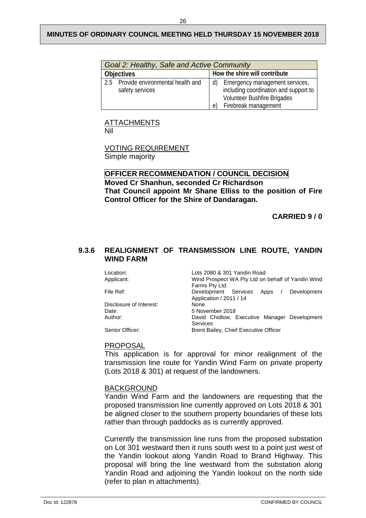| Goal 2: Healthy, Safe and Active Community              |                                                                                                                                      |  |  |  |
|---------------------------------------------------------|--------------------------------------------------------------------------------------------------------------------------------------|--|--|--|
| <b>Objectives</b>                                       | How the shire will contribute                                                                                                        |  |  |  |
| 2.5 Provide environmental health and<br>safety services | Emergency management services,<br>d)<br>including coordination and support to<br>Volunteer Bushfire Brigades<br>Firebreak management |  |  |  |

#### ATTACHMENTS

Nil

#### VOTING REQUIREMENT

Simple majority

#### **OFFICER RECOMMENDATION / COUNCIL DECISION Moved Cr Shanhun, seconded Cr Richardson That Council appoint Mr Shane Elliss to the position of Fire Control Officer for the Shire of Dandaragan.**

**CARRIED 9 / 0** 

#### <span id="page-28-0"></span>**9.3.6 REALIGNMENT OF TRANSMISSION LINE ROUTE, YANDIN WIND FARM**

| Location:               | Lots 2080 & 301 Yandin Road                                              |  |  |  |
|-------------------------|--------------------------------------------------------------------------|--|--|--|
| Applicant:              | Wind Prospect WA Pty Ltd on behalf of Yandin Wind                        |  |  |  |
|                         | Farms Pty Ltd.                                                           |  |  |  |
| File Ref:               | Development Services<br>Apps /<br>Development<br>Application / 2011 / 14 |  |  |  |
| Disclosure of Interest: | None                                                                     |  |  |  |
| Date:                   | 5 November 2018                                                          |  |  |  |
| Author:                 | David Chidlow, Executive Manager Development<br><b>Services</b>          |  |  |  |
| Senior Officer:         | Brent Bailey, Chief Executive Officer                                    |  |  |  |

#### PROPOSAL

This application is for approval for minor realignment of the transmission line route for Yandin Wind Farm on private property (Lots 2018 & 301) at request of the landowners.

#### BACKGROUND

Yandin Wind Farm and the landowners are requesting that the proposed transmission line currently approved on Lots 2018 & 301 be aligned closer to the southern property boundaries of these lots rather than through paddocks as is currently approved.

Currently the transmission line runs from the proposed substation on Lot 301 westward then it runs south west to a point just west of the Yandin lookout along Yandin Road to Brand Highway. This proposal will bring the line westward from the substation along Yandin Road and adjoining the Yandin lookout on the north side (refer to plan in attachments).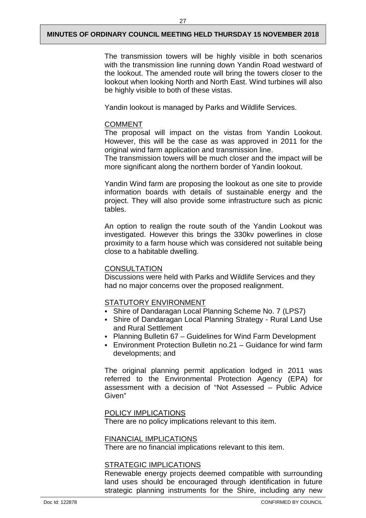The transmission towers will be highly visible in both scenarios with the transmission line running down Yandin Road westward of the lookout. The amended route will bring the towers closer to the lookout when looking North and North East. Wind turbines will also be highly visible to both of these vistas.

Yandin lookout is managed by Parks and Wildlife Services.

#### COMMENT

The proposal will impact on the vistas from Yandin Lookout. However, this will be the case as was approved in 2011 for the original wind farm application and transmission line.

The transmission towers will be much closer and the impact will be more significant along the northern border of Yandin lookout.

Yandin Wind farm are proposing the lookout as one site to provide information boards with details of sustainable energy and the project. They will also provide some infrastructure such as picnic tables.

An option to realign the route south of the Yandin Lookout was investigated. However this brings the 330kv powerlines in close proximity to a farm house which was considered not suitable being close to a habitable dwelling.

#### **CONSULTATION**

Discussions were held with Parks and Wildlife Services and they had no major concerns over the proposed realignment.

#### STATUTORY ENVIRONMENT

- Shire of Dandaragan Local Planning Scheme No. 7 (LPS7)
- Shire of Dandaragan Local Planning Strategy Rural Land Use and Rural Settlement
- Planning Bulletin 67 Guidelines for Wind Farm Development
- Environment Protection Bulletin no.21 Guidance for wind farm developments; and

The original planning permit application lodged in 2011 was referred to the Environmental Protection Agency (EPA) for assessment with a decision of "Not Assessed – Public Advice Given"

#### POLICY IMPLICATIONS

There are no policy implications relevant to this item.

#### FINANCIAL IMPLICATIONS

There are no financial implications relevant to this item.

#### STRATEGIC IMPLICATIONS

Renewable energy projects deemed compatible with surrounding land uses should be encouraged through identification in future strategic planning instruments for the Shire, including any new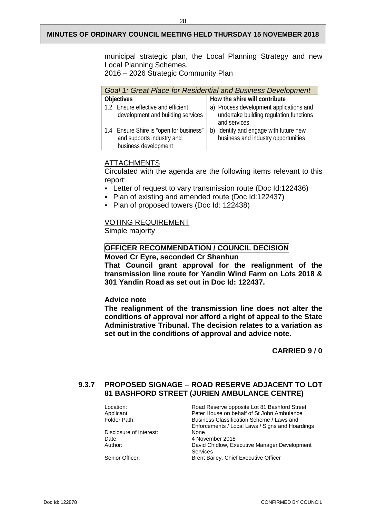municipal strategic plan, the Local Planning Strategy and new Local Planning Schemes.

2016 – 2026 Strategic Community Plan

| Goal 1: Great Place for Residential and Business Development                                 |                                                                                                    |  |  |  |  |
|----------------------------------------------------------------------------------------------|----------------------------------------------------------------------------------------------------|--|--|--|--|
| <b>Objectives</b>                                                                            | How the shire will contribute                                                                      |  |  |  |  |
| 1.2 Ensure effective and efficient<br>development and building services                      | a) Process development applications and<br>undertake building regulation functions<br>and services |  |  |  |  |
| 1.4 Ensure Shire is "open for business"<br>and supports industry and<br>business development | b) Identify and engage with future new<br>business and industry opportunities                      |  |  |  |  |

#### **ATTACHMENTS**

Circulated with the agenda are the following items relevant to this report:

- Letter of request to vary transmission route (Doc Id:122436)
- Plan of existing and amended route (Doc Id:122437)
- Plan of proposed towers (Doc Id: 122438)

#### VOTING REQUIREMENT

Simple majority

#### **OFFICER RECOMMENDATION / COUNCIL DECISION**

**Moved Cr Eyre, seconded Cr Shanhun**

**That Council grant approval for the realignment of the transmission line route for Yandin Wind Farm on Lots 2018 & 301 Yandin Road as set out in Doc Id: 122437.**

#### **Advice note**

**The realignment of the transmission line does not alter the conditions of approval nor afford a right of appeal to the State Administrative Tribunal. The decision relates to a variation as set out in the conditions of approval and advice note.**

**CARRIED 9 / 0** 

#### <span id="page-30-0"></span>**9.3.7 PROPOSED SIGNAGE – ROAD RESERVE ADJACENT TO LOT 81 BASHFORD STREET (JURIEN AMBULANCE CENTRE)**

| Location:               | Road Reserve opposite Lot 81 Bashford Street.   |
|-------------------------|-------------------------------------------------|
| Applicant:              | Peter House on behalf of St John Ambulance      |
| Folder Path:            | Business Classification Scheme / Laws and       |
|                         | Enforcements / Local Laws / Signs and Hoardings |
| Disclosure of Interest: | None                                            |
| Date:                   | 4 November 2018                                 |
| Author:                 | David Chidlow, Executive Manager Development    |
|                         | Services                                        |
| Senior Officer:         | Brent Bailey, Chief Executive Officer           |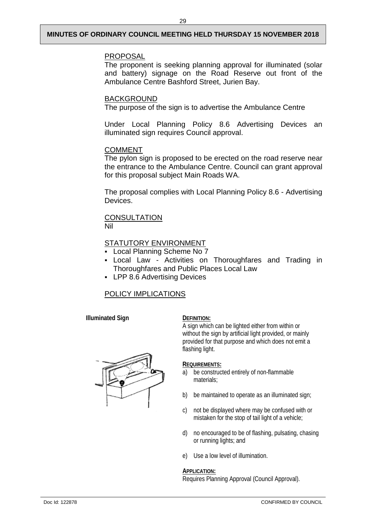#### PROPOSAL

The proponent is seeking planning approval for illuminated (solar and battery) signage on the Road Reserve out front of the Ambulance Centre Bashford Street, Jurien Bay.

#### BACKGROUND

The purpose of the sign is to advertise the Ambulance Centre

Under Local Planning Policy 8.6 Advertising Devices an illuminated sign requires Council approval.

#### COMMENT

The pylon sign is proposed to be erected on the road reserve near the entrance to the Ambulance Centre. Council can grant approval for this proposal subject Main Roads WA.

The proposal complies with Local Planning Policy 8.6 - Advertising Devices.

# **CONSULTATION**

Nil

#### STATUTORY ENVIRONMENT

- Local Planning Scheme No 7
- Local Law Activities on Thoroughfares and Trading in Thoroughfares and Public Places Local Law
- **LPP 8.6 Advertising Devices**

### POLICY IMPLICATIONS

**Illuminated Sign DEFINITION:** 

A sign which can be lighted either from within or without the sign by artificial light provided, or mainly provided for that purpose and which does not emit a flashing light.

#### **REQUIREMENTS:**

- a) be constructed entirely of non-flammable materials;
- b) be maintained to operate as an illuminated sign;
- c) not be displayed where may be confused with or mistaken for the stop of tail light of a vehicle;
- d) no encouraged to be of flashing, pulsating, chasing or running lights; and
- e) Use a low level of illumination.

#### **APPLICATION:**

Requires Planning Approval (Council Approval).

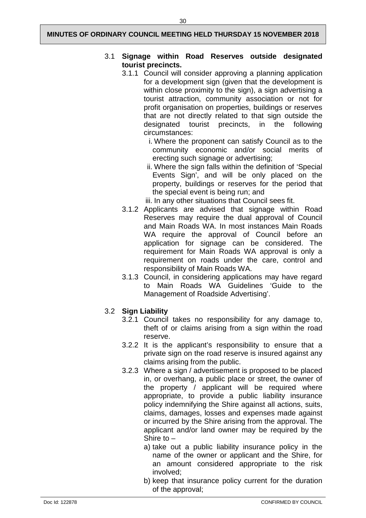#### 3.1 **Signage within Road Reserves outside designated tourist precincts.**

- 3.1.1 Council will consider approving a planning application for a development sign (given that the development is within close proximity to the sign), a sign advertising a tourist attraction, community association or not for profit organisation on properties, buildings or reserves that are not directly related to that sign outside the designated tourist precincts, in the following circumstances:
	- i. Where the proponent can satisfy Council as to the community economic and/or social merits of erecting such signage or advertising;
	- ii. Where the sign falls within the definition of 'Special Events Sign', and will be only placed on the property, buildings or reserves for the period that the special event is being run; and
	- iii. In any other situations that Council sees fit.
- 3.1.2 Applicants are advised that signage within Road Reserves may require the dual approval of Council and Main Roads WA. In most instances Main Roads WA require the approval of Council before an application for signage can be considered. The requirement for Main Roads WA approval is only a requirement on roads under the care, control and responsibility of Main Roads WA.
- 3.1.3 Council, in considering applications may have regard to Main Roads WA Guidelines 'Guide to the Management of Roadside Advertising'.

### 3.2 **Sign Liability**

- 3.2.1 Council takes no responsibility for any damage to, theft of or claims arising from a sign within the road reserve.
- 3.2.2 It is the applicant's responsibility to ensure that a private sign on the road reserve is insured against any claims arising from the public.
- 3.2.3 Where a sign / advertisement is proposed to be placed in, or overhang, a public place or street, the owner of the property / applicant will be required where appropriate, to provide a public liability insurance policy indemnifying the Shire against all actions, suits, claims, damages, losses and expenses made against or incurred by the Shire arising from the approval. The applicant and/or land owner may be required by the Shire to –
	- a) take out a public liability insurance policy in the name of the owner or applicant and the Shire, for an amount considered appropriate to the risk involved;
	- b) keep that insurance policy current for the duration of the approval;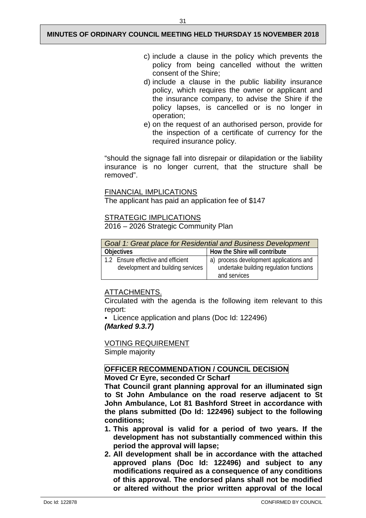- c) include a clause in the policy which prevents the policy from being cancelled without the written consent of the Shire;
- d) include a clause in the public liability insurance policy, which requires the owner or applicant and the insurance company, to advise the Shire if the policy lapses, is cancelled or is no longer in operation;
- e) on the request of an authorised person, provide for the inspection of a certificate of currency for the required insurance policy.

"should the signage fall into disrepair or dilapidation or the liability insurance is no longer current, that the structure shall be removed".

#### FINANCIAL IMPLICATIONS

The applicant has paid an application fee of \$147

#### **STRATEGIC IMPLICATIONS**

2016 – 2026 Strategic Community Plan

| Goal 1: Great place for Residential and Business Development |                                                         |  |  |  |
|--------------------------------------------------------------|---------------------------------------------------------|--|--|--|
| <b>Objectives</b>                                            | How the Shire will contribute                           |  |  |  |
| 1.2 Ensure effective and efficient                           | a) process development applications and                 |  |  |  |
| development and building services                            | undertake building regulation functions<br>and services |  |  |  |

#### ATTACHMENTS.

Circulated with the agenda is the following item relevant to this report:

 Licence application and plans (Doc Id: 122496) *(Marked 9.3.7)* 

VOTING REQUIREMENT

Simple majority

#### **OFFICER RECOMMENDATION / COUNCIL DECISION**

#### **Moved Cr Eyre, seconded Cr Scharf**

**That Council grant planning approval for an illuminated sign to St John Ambulance on the road reserve adjacent to St John Ambulance, Lot 81 Bashford Street in accordance with the plans submitted (Do Id: 122496) subject to the following conditions;**

- **1. This approval is valid for a period of two years. If the development has not substantially commenced within this period the approval will lapse;**
- **2. All development shall be in accordance with the attached approved plans (Doc Id: 122496) and subject to any modifications required as a consequence of any conditions of this approval. The endorsed plans shall not be modified or altered without the prior written approval of the local**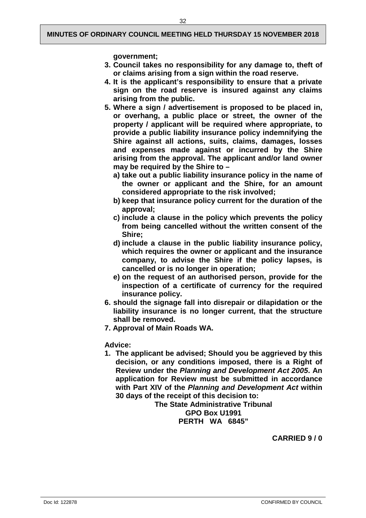**government;** 

- **3. Council takes no responsibility for any damage to, theft of or claims arising from a sign within the road reserve.**
- **4. It is the applicant's responsibility to ensure that a private sign on the road reserve is insured against any claims arising from the public.**
- **5. Where a sign / advertisement is proposed to be placed in, or overhang, a public place or street, the owner of the property / applicant will be required where appropriate, to provide a public liability insurance policy indemnifying the Shire against all actions, suits, claims, damages, losses and expenses made against or incurred by the Shire arising from the approval. The applicant and/or land owner may be required by the Shire to –**
	- **a) take out a public liability insurance policy in the name of the owner or applicant and the Shire, for an amount considered appropriate to the risk involved;**
	- **b) keep that insurance policy current for the duration of the approval;**
	- **c) include a clause in the policy which prevents the policy from being cancelled without the written consent of the Shire;**
	- **d) include a clause in the public liability insurance policy, which requires the owner or applicant and the insurance company, to advise the Shire if the policy lapses, is cancelled or is no longer in operation;**
	- **e) on the request of an authorised person, provide for the inspection of a certificate of currency for the required insurance policy.**
- **6. should the signage fall into disrepair or dilapidation or the liability insurance is no longer current, that the structure shall be removed.**
- **7. Approval of Main Roads WA.**

**Advice:**

**1. The applicant be advised; Should you be aggrieved by this decision, or any conditions imposed, there is a Right of Review under the** *Planning and Development Act 2005***. An application for Review must be submitted in accordance with Part XIV of the** *Planning and Development Act* **within 30 days of the receipt of this decision to:**

**The State Administrative Tribunal GPO Box U1991 PERTH WA 6845"**

**CARRIED 9 / 0**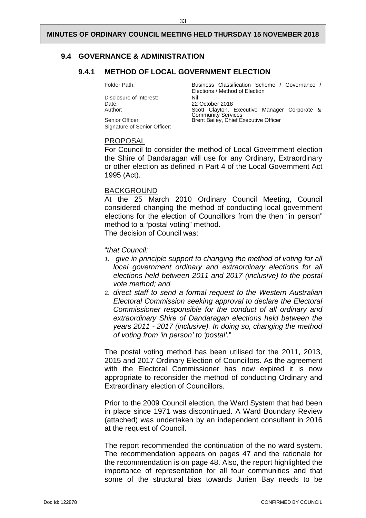#### <span id="page-35-1"></span><span id="page-35-0"></span>**9.4 GOVERNANCE & ADMINISTRATION**

#### **9.4.1 METHOD OF LOCAL GOVERNMENT ELECTION**

Folder Path: Business Classification Scheme / Governance /

Elections / Method of Election Disclosure of Interest:<br>
Date: 22 October 2018 Date: 22 October 2018 Author: Scott Clayton, Executive Manager Corporate & Community Services Senior Officer: **Brent Bailey, Chief Executive Officer** 

#### PROPOSAL

Signature of Senior Officer:

For Council to consider the method of Local Government election the Shire of Dandaragan will use for any Ordinary, Extraordinary or other election as defined in Part 4 of the Local Government Act 1995 (Act).

#### BACKGROUND

At the 25 March 2010 Ordinary Council Meeting, Council considered changing the method of conducting local government elections for the election of Councillors from the then "in person" method to a "postal voting" method. The decision of Council was:

#### "*that Council:*

- *1. give in principle support to changing the method of voting for all local government ordinary and extraordinary elections for all elections held between 2011 and 2017 (inclusive) to the postal vote method; and*
- 2. *direct staff to send a formal request to the Western Australian Electoral Commission seeking approval to declare the Electoral Commissioner responsible for the conduct of all ordinary and extraordinary Shire of Dandaragan elections held between the years 2011 - 2017 (inclusive). In doing so, changing the method of voting from 'in person' to 'postal'.*"

The postal voting method has been utilised for the 2011, 2013, 2015 and 2017 Ordinary Election of Councillors. As the agreement with the Electoral Commissioner has now expired it is now appropriate to reconsider the method of conducting Ordinary and Extraordinary election of Councillors.

Prior to the 2009 Council election, the Ward System that had been in place since 1971 was discontinued. A Ward Boundary Review (attached) was undertaken by an independent consultant in 2016 at the request of Council.

The report recommended the continuation of the no ward system. The recommendation appears on pages 47 and the rationale for the recommendation is on page 48. Also, the report highlighted the importance of representation for all four communities and that some of the structural bias towards Jurien Bay needs to be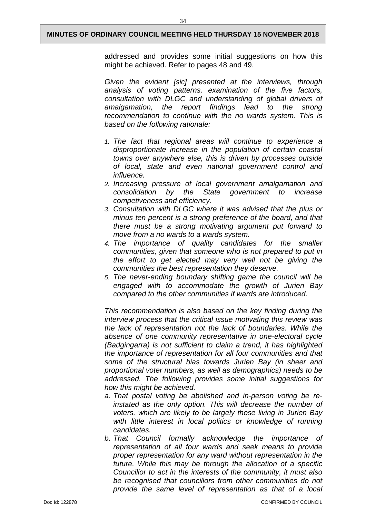34

addressed and provides some initial suggestions on how this might be achieved. Refer to pages 48 and 49.

*Given the evident [sic] presented at the interviews, through analysis of voting patterns, examination of the five factors, consultation with DLGC and understanding of global drivers of amalgamation, the report findings lead to the strong recommendation to continue with the no wards system. This is based on the following rationale:*

- *1. The fact that regional areas will continue to experience a disproportionate increase in the population of certain coastal towns over anywhere else, this is driven by processes outside of local, state and even national government control and influence.*
- *2. Increasing pressure of local government amalgamation and consolidation by the State government to increase competiveness and efficiency.*
- *3. Consultation with DLGC where it was advised that the plus or minus ten percent is a strong preference of the board, and that there must be a strong motivating argument put forward to move from a no wards to a wards system.*
- *4. The importance of quality candidates for the smaller communities, given that someone who is not prepared to put in the effort to get elected may very well not be giving the communities the best representation they deserve.*
- *5. The never-ending boundary shifting game the council will be engaged with to accommodate the growth of Jurien Bay compared to the other communities if wards are introduced.*

*This recommendation is also based on the key finding during the interview process that the critical issue motivating this review was the lack of representation not the lack of boundaries. While the absence of one community representative in one-electoral cycle (Badgingarra) is not sufficient to claim a trend, it has highlighted the importance of representation for all four communities and that some of the structural bias towards Jurien Bay (in sheer and proportional voter numbers, as well as demographics) needs to be addressed. The following provides some initial suggestions for how this might be achieved.*

- *a. That postal voting be abolished and in-person voting be reinstated as the only option. This will decrease the number of voters, which are likely to be largely those living in Jurien Bay with little interest in local politics or knowledge of running candidates.*
- *b. That Council formally acknowledge the importance of representation of all four wards and seek means to provide proper representation for any ward without representation in the future. While this may be through the allocation of a specific Councillor to act in the interests of the community, it must also be recognised that councillors from other communities do not provide the same level of representation as that of a local*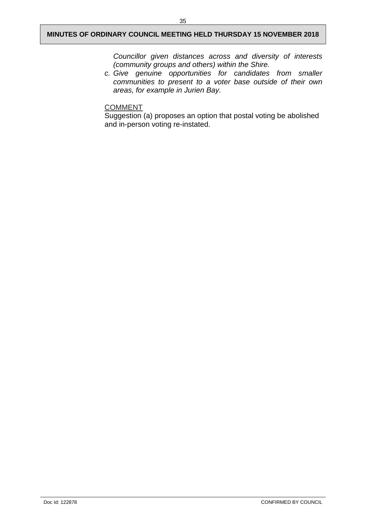*Councillor given distances across and diversity of interests (community groups and others) within the Shire.*

*c. Give genuine opportunities for candidates from smaller communities to present to a voter base outside of their own areas, for example in Jurien Bay.*

#### **COMMENT**

Suggestion (a) proposes an option that postal voting be abolished and in-person voting re-instated.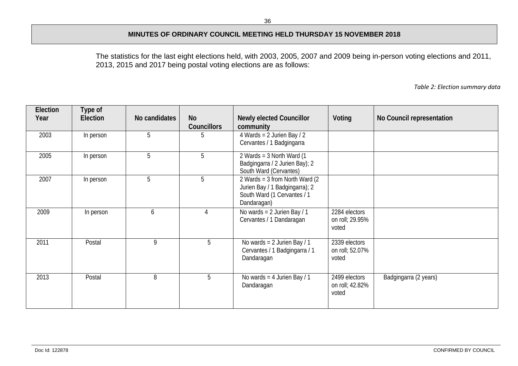The statistics for the last eight elections held, with 2003, 2005, 2007 and 2009 being in-person voting elections and 2011, 2013, 2015 and 2017 being postal voting elections are as follows:

*Table 2: Election summary data*

| Election<br>Year | Type of<br>Election | No candidates | <b>No</b><br><b>Councillors</b> | <b>Newly elected Councillor</b><br>community                                                                      | Voting                                    | No Council representation |
|------------------|---------------------|---------------|---------------------------------|-------------------------------------------------------------------------------------------------------------------|-------------------------------------------|---------------------------|
| 2003             | In person           | 5             | b.                              | 4 Wards = $2$ Jurien Bay / $2$<br>Cervantes / 1 Badgingarra                                                       |                                           |                           |
| 2005             | In person           | 5             | 5                               | 2 Wards = $3$ North Ward (1)<br>Badgingarra / 2 Jurien Bay); 2<br>South Ward (Cervantes)                          |                                           |                           |
| 2007             | In person           | 5             | 5                               | 2 Wards = $3$ from North Ward (2)<br>Jurien Bay / 1 Badgingarra); 2<br>South Ward (1 Cervantes / 1<br>Dandaragan) |                                           |                           |
| 2009             | In person           | 6             | $\overline{4}$                  | No wards = $2$ Jurien Bay / 1<br>Cervantes / 1 Dandaragan                                                         | 2284 electors<br>on roll; 29.95%<br>voted |                           |
| 2011             | Postal              | 9             | 5                               | No wards = $2$ Jurien Bay / 1<br>Cervantes / 1 Badgingarra / 1<br>Dandaragan                                      | 2339 electors<br>on roll; 52.07%<br>voted |                           |
| 2013             | Postal              | 8             | 5                               | No wards = $4$ Jurien Bay / 1<br>Dandaragan                                                                       | 2499 electors<br>on roll; 42.82%<br>voted | Badgingarra (2 years)     |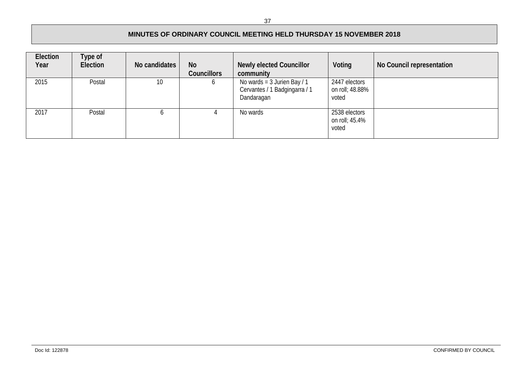| Election<br>Year | Type of<br>Election | No candidates | <b>No</b><br><b>Councillors</b> | <b>Newly elected Councillor</b><br>community                                   | Voting                                    | No Council representation |
|------------------|---------------------|---------------|---------------------------------|--------------------------------------------------------------------------------|-------------------------------------------|---------------------------|
| 2015             | Postal              | 10            |                                 | No wards = $3$ Jurien Bay / $1$<br>Cervantes / 1 Badgingarra / 1<br>Dandaragan | 2447 electors<br>on roll; 48.88%<br>voted |                           |
| 2017             | Postal              | o             |                                 | No wards                                                                       | 2538 electors<br>on roll; 45.4%<br>voted  |                           |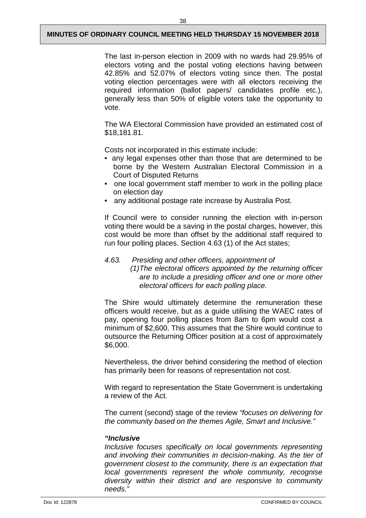The last in-person election in 2009 with no wards had 29.95% of electors voting and the postal voting elections having between 42.85% and 52.07% of electors voting since then. The postal voting election percentages were with all electors receiving the required information (ballot papers/ candidates profile etc.), generally less than 50% of eligible voters take the opportunity to vote.

The WA Electoral Commission have provided an estimated cost of \$18,181.81.

Costs not incorporated in this estimate include:

- any legal expenses other than those that are determined to be borne by the Western Australian Electoral Commission in a Court of Disputed Returns
- one local government staff member to work in the polling place on election day
- any additional postage rate increase by Australia Post.

If Council were to consider running the election with in-person voting there would be a saving in the postal charges, however, this cost would be more than offset by the additional staff required to run four polling places. Section 4.63 (1) of the Act states;

#### *4.63. Presiding and other officers, appointment of*

 *(1)The electoral officers appointed by the returning officer are to include a presiding officer and one or more other electoral officers for each polling place.*

The Shire would ultimately determine the remuneration these officers would receive, but as a guide utilising the WAEC rates of pay, opening four polling places from 8am to 6pm would cost a minimum of \$2,600. This assumes that the Shire would continue to outsource the Returning Officer position at a cost of approximately \$6,000.

Nevertheless, the driver behind considering the method of election has primarily been for reasons of representation not cost.

With regard to representation the State Government is undertaking a review of the Act.

The current (second) stage of the review *"focuses on delivering for the community based on the themes Agile, Smart and Inclusive."*

#### *"Inclusive*

*Inclusive focuses specifically on local governments representing and involving their communities in decision-making. As the tier of government closest to the community, there is an expectation that local governments represent the whole community, recognise diversity within their district and are responsive to community needs."*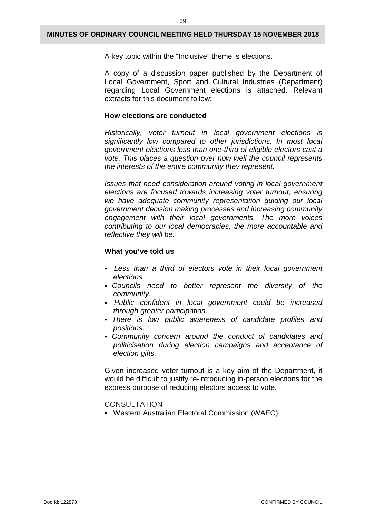A key topic within the "Inclusive" theme is elections.

A copy of a discussion paper published by the Department of Local Government, Sport and Cultural Industries (Department) regarding Local Government elections is attached. Relevant extracts for this document follow;

#### **How elections are conducted**

*Historically, voter turnout in local government elections is significantly low compared to other jurisdictions. In most local government elections less than one-third of eligible electors cast a vote. This places a question over how well the council represents the interests of the entire community they represent.*

*Issues that need consideration around voting in local government elections are focused towards increasing voter turnout, ensuring we have adequate community representation guiding our local government decision making processes and increasing community engagement with their local governments. The more voices contributing to our local democracies, the more accountable and reflective they will be.*

#### **What you've told us**

- *Less than a third of electors vote in their local government elections*
- *Councils need to better represent the diversity of the community.*
- *Public confident in local government could be increased through greater participation.*
- *There is low public awareness of candidate profiles and positions.*
- *Community concern around the conduct of candidates and politicisation during election campaigns and acceptance of election gifts.*

Given increased voter turnout is a key aim of the Department, it would be difficult to justify re-introducing in-person elections for the express purpose of reducing electors access to vote.

**CONSULTATION** 

Western Australian Electoral Commission (WAEC)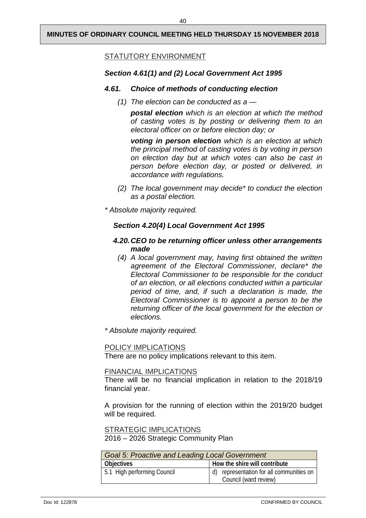#### STATUTORY ENVIRONMENT

#### *Section 4.61(1) and (2) Local Government Act 1995*

#### *4.61. Choice of methods of conducting election*

*(1) The election can be conducted as a —*

*postal election which is an election at which the method of casting votes is by posting or delivering them to an electoral officer on or before election day; or*

*voting in person election which is an election at which the principal method of casting votes is by voting in person on election day but at which votes can also be cast in person before election day, or posted or delivered, in accordance with regulations.*

- *(2) The local government may decide\* to conduct the election as a postal election.*
- *\* Absolute majority required.*

#### *Section 4.20(4) Local Government Act 1995*

#### *4.20.CEO to be returning officer unless other arrangements made*

- *(4) A local government may, having first obtained the written agreement of the Electoral Commissioner, declare\* the Electoral Commissioner to be responsible for the conduct of an election, or all elections conducted within a particular period of time, and, if such a declaration is made, the Electoral Commissioner is to appoint a person to be the returning officer of the local government for the election or elections.*
- *\* Absolute majority required.*

#### POLICY IMPLICATIONS

There are no policy implications relevant to this item.

#### FINANCIAL IMPLICATIONS

There will be no financial implication in relation to the 2018/19 financial year.

A provision for the running of election within the 2019/20 budget will be required.

STRATEGIC IMPLICATIONS

2016 – 2026 Strategic Community Plan

| Goal 5: Proactive and Leading Local Government |                                                                   |  |  |  |
|------------------------------------------------|-------------------------------------------------------------------|--|--|--|
| <b>Objectives</b>                              | How the shire will contribute                                     |  |  |  |
| 5.1 High performing Council                    | d) representation for all communities on<br>Council (ward review) |  |  |  |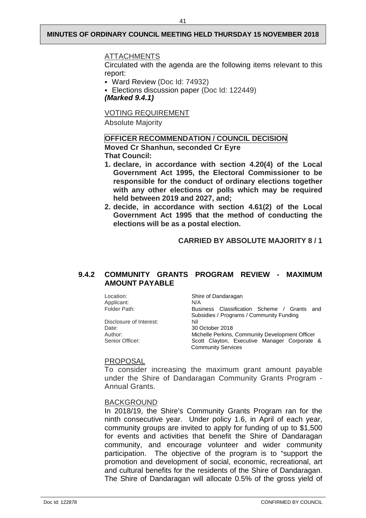#### ATTACHMENTS

Circulated with the agenda are the following items relevant to this report:

- Ward Review (Doc Id: 74932)
- Elections discussion paper (Doc Id: 122449) *(Marked 9.4.1)*

VOTING REQUIREMENT

Absolute Majority

#### **OFFICER RECOMMENDATION / COUNCIL DECISION**

**Moved Cr Shanhun, seconded Cr Eyre That Council:**

- **1. declare, in accordance with section 4.20(4) of the Local Government Act 1995, the Electoral Commissioner to be responsible for the conduct of ordinary elections together with any other elections or polls which may be required held between 2019 and 2027, and;**
- **2. decide, in accordance with section 4.61(2) of the Local Government Act 1995 that the method of conducting the elections will be as a postal election.**

**CARRIED BY ABSOLUTE MAJORITY 8 / 1** 

#### <span id="page-43-0"></span>**9.4.2 COMMUNITY GRANTS PROGRAM REVIEW - MAXIMUM AMOUNT PAYABLE**

Location: Shire of Dandaragan<br>Applicant: N/A Applicant:<br>Folder Path: Business Classification Scheme / Grants and Subsidies / Programs / Community Funding<br>Nil Disclosure of Interest: Date: 30 October 2018 Author: Michelle Perkins, Community Development Officer<br>
Scott Clavton, Executive Manager Corporate Scott Clayton, Executive Manager Corporate & Community Services

#### PROPOSAL

To consider increasing the maximum grant amount payable under the Shire of Dandaragan Community Grants Program - Annual Grants.

#### BACKGROUND

In 2018/19, the Shire's Community Grants Program ran for the ninth consecutive year. Under policy 1.6, in April of each year, community groups are invited to apply for funding of up to \$1,500 for events and activities that benefit the Shire of Dandaragan community, and encourage volunteer and wider community participation. The objective of the program is to "support the promotion and development of social, economic, recreational, art and cultural benefits for the residents of the Shire of Dandaragan. The Shire of Dandaragan will allocate 0.5% of the gross yield of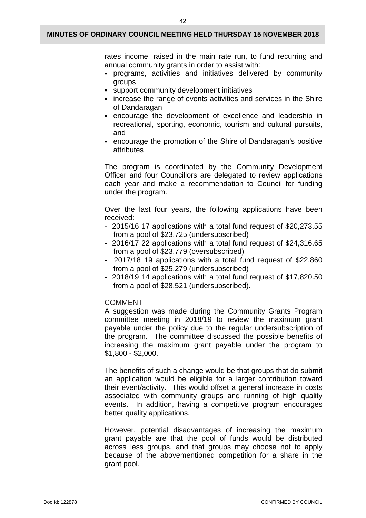rates income, raised in the main rate run, to fund recurring and annual community grants in order to assist with:

- programs, activities and initiatives delivered by community groups
- support community development initiatives
- increase the range of events activities and services in the Shire of Dandaragan
- encourage the development of excellence and leadership in recreational, sporting, economic, tourism and cultural pursuits, and
- encourage the promotion of the Shire of Dandaragan's positive attributes

The program is coordinated by the Community Development Officer and four Councillors are delegated to review applications each year and make a recommendation to Council for funding under the program.

Over the last four years, the following applications have been received:

- 2015/16 17 applications with a total fund request of \$20,273.55 from a pool of \$23,725 (undersubscribed)
- 2016/17 22 applications with a total fund request of \$24,316.65 from a pool of \$23,779 (oversubscribed)
- 2017/18 19 applications with a total fund request of \$22,860 from a pool of \$25,279 (undersubscribed)
- 2018/19 14 applications with a total fund request of \$17,820.50 from a pool of \$28,521 (undersubscribed).

#### COMMENT

A suggestion was made during the Community Grants Program committee meeting in 2018/19 to review the maximum grant payable under the policy due to the regular undersubscription of the program. The committee discussed the possible benefits of increasing the maximum grant payable under the program to \$1,800 - \$2,000.

The benefits of such a change would be that groups that do submit an application would be eligible for a larger contribution toward their event/activity. This would offset a general increase in costs associated with community groups and running of high quality events. In addition, having a competitive program encourages better quality applications.

However, potential disadvantages of increasing the maximum grant payable are that the pool of funds would be distributed across less groups, and that groups may choose not to apply because of the abovementioned competition for a share in the grant pool.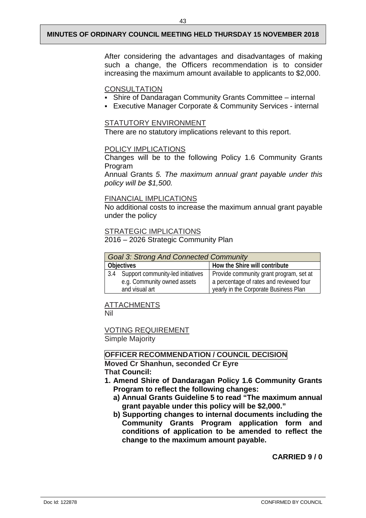After considering the advantages and disadvantages of making such a change, the Officers recommendation is to consider increasing the maximum amount available to applicants to \$2,000.

#### **CONSULTATION**

- Shire of Dandaragan Community Grants Committee internal
- Executive Manager Corporate & Community Services internal

#### STATUTORY ENVIRONMENT

There are no statutory implications relevant to this report.

#### POLICY IMPLICATIONS

Changes will be to the following Policy 1.6 Community Grants Program

Annual Grants *5. The maximum annual grant payable under this policy will be \$1,500.*

#### FINANCIAL IMPLICATIONS

No additional costs to increase the maximum annual grant payable under the policy

#### STRATEGIC IMPLICATIONS

2016 – 2026 Strategic Community Plan

| <b>Goal 3: Strong And Connected Community</b> |                                   |                                         |  |
|-----------------------------------------------|-----------------------------------|-----------------------------------------|--|
| <b>Objectives</b>                             |                                   | How the Shire will contribute           |  |
| 3.4                                           | Support community-led initiatives | Provide community grant program, set at |  |
|                                               | e.g. Community owned assets       | a percentage of rates and reviewed four |  |
|                                               | and visual art                    | yearly in the Corporate Business Plan   |  |

#### ATTACHMENTS

Nil

VOTING REQUIREMENT Simple Majority

**OFFICER RECOMMENDATION / COUNCIL DECISION Moved Cr Shanhun, seconded Cr Eyre**

**That Council:**

- **1. Amend Shire of Dandaragan Policy 1.6 Community Grants Program to reflect the following changes:**
	- **a) Annual Grants Guideline 5 to read "The maximum annual grant payable under this policy will be \$2,000."**
	- **b) Supporting changes to internal documents including the Community Grants Program application form and conditions of application to be amended to reflect the change to the maximum amount payable.**

**CARRIED 9 / 0**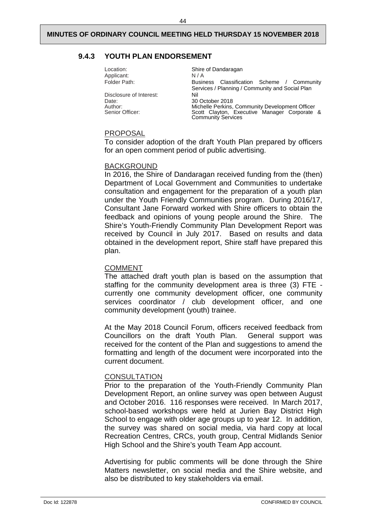#### <span id="page-46-0"></span>**9.4.3 YOUTH PLAN ENDORSEMENT**

| Location:<br>Applicant:<br>Folder Path: | Shire of Dandaragan<br>N/A<br>Business Classification Scheme / Community                                                     |
|-----------------------------------------|------------------------------------------------------------------------------------------------------------------------------|
| Disclosure of Interest:<br>Date:        | Services / Planning / Community and Social Plan<br>Nil<br>30 October 2018                                                    |
| Author:<br>Senior Officer:              | Michelle Perkins, Community Development Officer<br>Scott Clayton, Executive Manager Corporate &<br><b>Community Services</b> |

#### PROPOSAL

To consider adoption of the draft Youth Plan prepared by officers for an open comment period of public advertising.

#### BACKGROUND

In 2016, the Shire of Dandaragan received funding from the (then) Department of Local Government and Communities to undertake consultation and engagement for the preparation of a youth plan under the Youth Friendly Communities program. During 2016/17, Consultant Jane Forward worked with Shire officers to obtain the feedback and opinions of young people around the Shire. The Shire's Youth-Friendly Community Plan Development Report was received by Council in July 2017. Based on results and data obtained in the development report, Shire staff have prepared this plan.

#### COMMENT

The attached draft youth plan is based on the assumption that staffing for the community development area is three (3) FTE currently one community development officer, one community services coordinator / club development officer, and one community development (youth) trainee.

At the May 2018 Council Forum, officers received feedback from Councillors on the draft Youth Plan. General support was received for the content of the Plan and suggestions to amend the formatting and length of the document were incorporated into the current document.

#### **CONSULTATION**

Prior to the preparation of the Youth-Friendly Community Plan Development Report, an online survey was open between August and October 2016. 116 responses were received. In March 2017, school-based workshops were held at Jurien Bay District High School to engage with older age groups up to year 12. In addition, the survey was shared on social media, via hard copy at local Recreation Centres, CRCs, youth group, Central Midlands Senior High School and the Shire's youth Team App account.

Advertising for public comments will be done through the Shire Matters newsletter, on social media and the Shire website, and also be distributed to key stakeholders via email.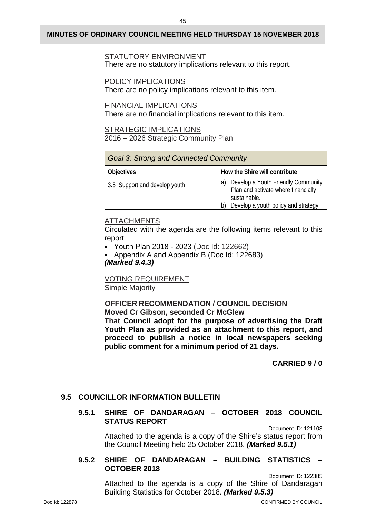#### STATUTORY ENVIRONMENT

There are no statutory implications relevant to this report.

#### POLICY IMPLICATIONS

There are no policy implications relevant to this item.

#### FINANCIAL IMPLICATIONS

There are no financial implications relevant to this item.

#### STRATEGIC IMPLICATIONS

2016 – 2026 Strategic Community Plan

| <b>Goal 3: Strong and Connected Community</b> |                                                                                                                                        |  |
|-----------------------------------------------|----------------------------------------------------------------------------------------------------------------------------------------|--|
| <b>Objectives</b>                             | How the Shire will contribute                                                                                                          |  |
| 3.5 Support and develop youth                 | Develop a Youth Friendly Community<br>a)<br>Plan and activate where financially<br>sustainable.<br>Develop a youth policy and strategy |  |

### ATTACHMENTS

Circulated with the agenda are the following items relevant to this report:

- Youth Plan 2018 2023 (Doc Id: 122662)
- Appendix A and Appendix B (Doc Id: 122683) *(Marked 9.4.3)*

VOTING REQUIREMENT Simple Majority

# **OFFICER RECOMMENDATION / COUNCIL DECISION**

**Moved Cr Gibson, seconded Cr McGlew That Council adopt for the purpose of advertising the Draft Youth Plan as provided as an attachment to this report, and proceed to publish a notice in local newspapers seeking public comment for a minimum period of 21 days.**

**CARRIED 9 / 0** 

### <span id="page-47-1"></span><span id="page-47-0"></span>**9.5 COUNCILLOR INFORMATION BULLETIN**

#### **9.5.1 SHIRE OF DANDARAGAN – OCTOBER 2018 COUNCIL STATUS REPORT**

Document ID: 121103

Attached to the agenda is a copy of the Shire's status report from the Council Meeting held 25 October 2018. *(Marked 9.5.1)*

#### <span id="page-47-2"></span>**9.5.2 SHIRE OF DANDARAGAN – BUILDING STATISTICS – OCTOBER 2018**

Document ID: 122385 Attached to the agenda is a copy of the Shire of Dandaragan Building Statistics for October 2018. *(Marked 9.5.3)*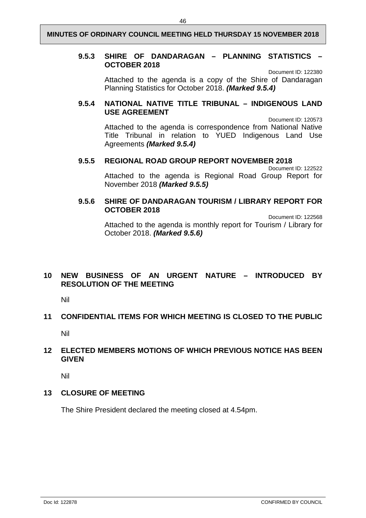#### <span id="page-48-0"></span>**9.5.3 SHIRE OF DANDARAGAN – PLANNING STATISTICS – OCTOBER 2018**

Document ID: 122380

Attached to the agenda is a copy of the Shire of Dandaragan Planning Statistics for October 2018. *(Marked 9.5.4)*

#### <span id="page-48-1"></span>**9.5.4 NATIONAL NATIVE TITLE TRIBUNAL – INDIGENOUS LAND USE AGREEMENT**

Document ID: 120573 Attached to the agenda is correspondence from National Native Title Tribunal in relation to YUED Indigenous Land Use Agreements *(Marked 9.5.4)*

#### <span id="page-48-2"></span>**9.5.5 REGIONAL ROAD GROUP REPORT NOVEMBER 2018**

Document ID: 122522 Attached to the agenda is Regional Road Group Report for November 2018 *(Marked 9.5.5)*

#### <span id="page-48-3"></span>**9.5.6 SHIRE OF DANDARAGAN TOURISM / LIBRARY REPORT FOR OCTOBER 2018**

Document ID: 122568 Attached to the agenda is monthly report for Tourism / Library for October 2018. *(Marked 9.5.6)*

### <span id="page-48-4"></span>**10 NEW BUSINESS OF AN URGENT NATURE – INTRODUCED BY RESOLUTION OF THE MEETING**

Nil

#### <span id="page-48-5"></span>**11 CONFIDENTIAL ITEMS FOR WHICH MEETING IS CLOSED TO THE PUBLIC**

Nil

#### <span id="page-48-6"></span>**12 ELECTED MEMBERS MOTIONS OF WHICH PREVIOUS NOTICE HAS BEEN GIVEN**

Nil

#### <span id="page-48-7"></span>**13 CLOSURE OF MEETING**

The Shire President declared the meeting closed at 4.54pm.